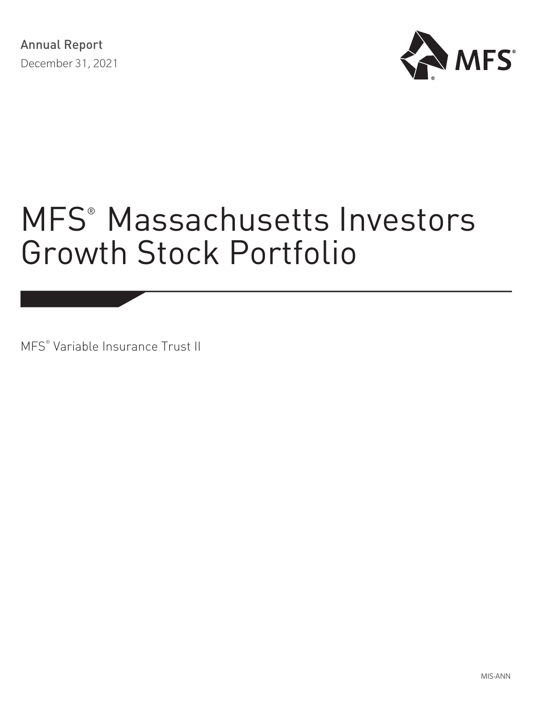

# MFS<sup>®</sup> [Massachusetts Investors](#page-1-0) [Growth Stock Portfolio](#page-1-0)

MFS® Variable Insurance Trust II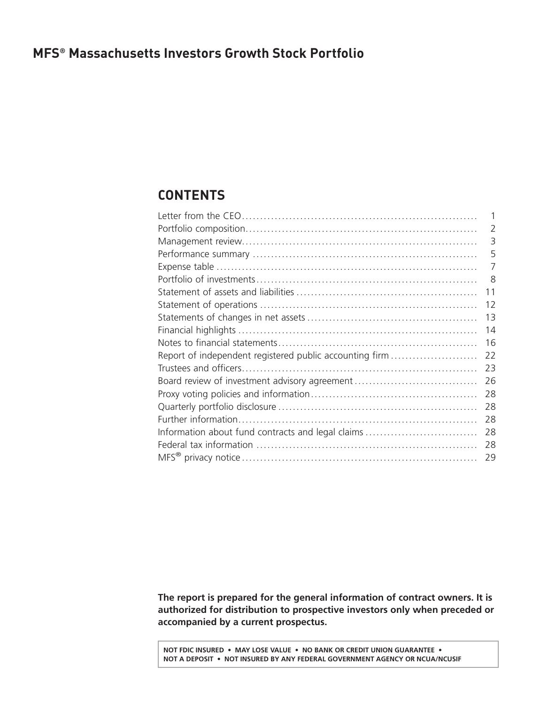### <span id="page-1-0"></span>**MFS® Massachusetts Investors Growth Stock Portfolio**

### **CONTENTS**

| 2<br>3<br>5<br>7<br>8<br>11<br>12<br>13<br>14<br>16<br>Report of independent registered public accounting firm<br>22<br>23<br>26<br>28<br>28<br>28<br>Information about fund contracts and legal claims<br>28<br>28<br>29 |  |
|---------------------------------------------------------------------------------------------------------------------------------------------------------------------------------------------------------------------------|--|
|                                                                                                                                                                                                                           |  |
|                                                                                                                                                                                                                           |  |
|                                                                                                                                                                                                                           |  |
|                                                                                                                                                                                                                           |  |
|                                                                                                                                                                                                                           |  |
|                                                                                                                                                                                                                           |  |
|                                                                                                                                                                                                                           |  |
|                                                                                                                                                                                                                           |  |
|                                                                                                                                                                                                                           |  |
|                                                                                                                                                                                                                           |  |
|                                                                                                                                                                                                                           |  |
|                                                                                                                                                                                                                           |  |
|                                                                                                                                                                                                                           |  |
|                                                                                                                                                                                                                           |  |
|                                                                                                                                                                                                                           |  |
|                                                                                                                                                                                                                           |  |
|                                                                                                                                                                                                                           |  |
|                                                                                                                                                                                                                           |  |
|                                                                                                                                                                                                                           |  |

**The report is prepared for the general information of contract owners. It is authorized for distribution to prospective investors only when preceded or accompanied by a current prospectus.**

**NOT FDIC INSURED • MAY LOSE VALUE • NO BANK OR CREDIT UNION GUARANTEE • NOT A DEPOSIT • NOT INSURED BY ANY FEDERAL GOVERNMENT AGENCY OR NCUA/NCUSIF**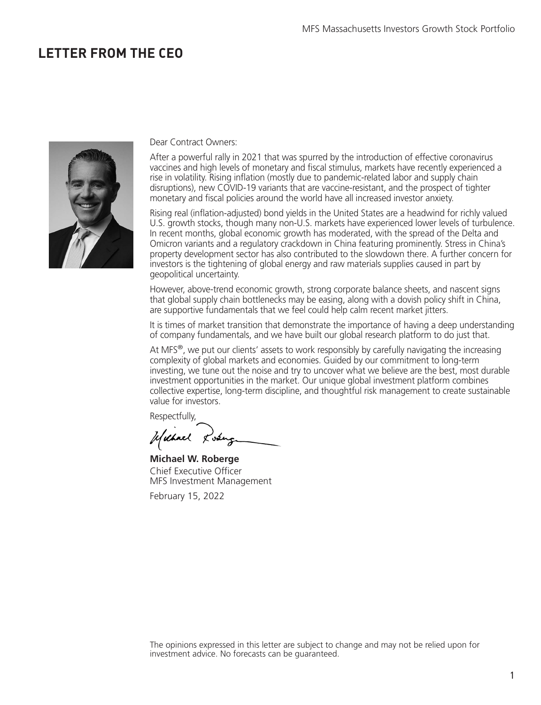### <span id="page-2-0"></span>**LETTER FROM THE CEO**



#### Dear Contract Owners:

After a powerful rally in 2021 that was spurred by the introduction of effective coronavirus vaccines and high levels of monetary and fiscal stimulus, markets have recently experienced a rise in volatility. Rising inflation (mostly due to pandemic-related labor and supply chain disruptions), new COVID-19 variants that are vaccine-resistant, and the prospect of tighter monetary and fiscal policies around the world have all increased investor anxiety.

Rising real (inflation-adjusted) bond yields in the United States are a headwind for richly valued U.S. growth stocks, though many non-U.S. markets have experienced lower levels of turbulence. In recent months, global economic growth has moderated, with the spread of the Delta and Omicron variants and a regulatory crackdown in China featuring prominently. Stress in China's property development sector has also contributed to the slowdown there. A further concern for investors is the tightening of global energy and raw materials supplies caused in part by geopolitical uncertainty.

However, above-trend economic growth, strong corporate balance sheets, and nascent signs that global supply chain bottlenecks may be easing, along with a dovish policy shift in China, are supportive fundamentals that we feel could help calm recent market jitters.

It is times of market transition that demonstrate the importance of having a deep understanding of company fundamentals, and we have built our global research platform to do just that.

At MFS<sup>®</sup>, we put our clients' assets to work responsibly by carefully navigating the increasing complexity of global markets and economies. Guided by our commitment to long-term investing, we tune out the noise and try to uncover what we believe are the best, most durable investment opportunities in the market. Our unique global investment platform combines collective expertise, long-term discipline, and thoughtful risk management to create sustainable value for investors.

Respectfully,

Usebuch Lose

**Michael W. Roberge** Chief Executive Officer MFS Investment Management

February 15, 2022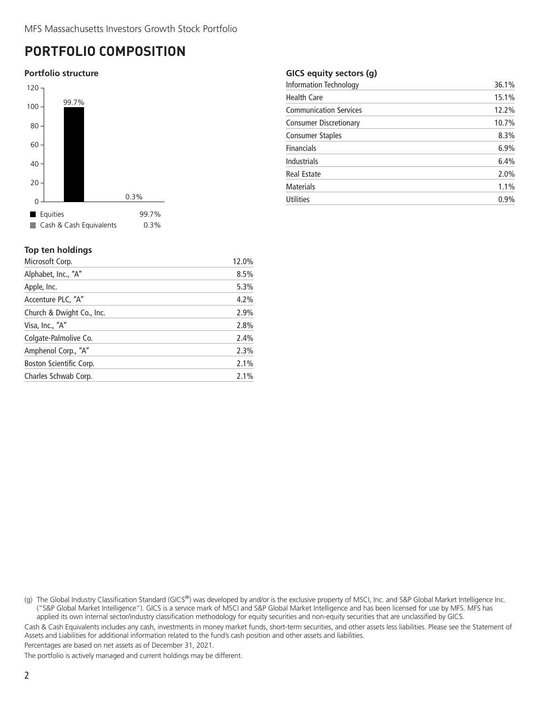### <span id="page-3-0"></span>**PORTFOLIO COMPOSITION**

#### **Portfolio structure**



#### **Top ten holdings**

| Microsoft Corp.           | 12.0% |
|---------------------------|-------|
| Alphabet, Inc., "A"       | 8.5%  |
| Apple, Inc.               | 5.3%  |
| Accenture PLC, "A"        | 4.2%  |
| Church & Dwight Co., Inc. | 2.9%  |
| Visa, Inc., "A"           | 2.8%  |
| Colgate-Palmolive Co.     | 2.4%  |
| Amphenol Corp., "A"       | 2.3%  |
| Boston Scientific Corp.   | 2.1%  |
| Charles Schwab Corp.      | 2.1%  |
|                           |       |

#### **GICS equity sectors (g)**

| <b>Information Technology</b> | 36.1% |
|-------------------------------|-------|
| <b>Health Care</b>            | 15.1% |
| <b>Communication Services</b> | 12.2% |
| <b>Consumer Discretionary</b> | 10.7% |
| Consumer Staples              | 8.3%  |
| <b>Financials</b>             | 6.9%  |
| <b>Industrials</b>            | 6.4%  |
| Real Estate                   | 2.0%  |
| <b>Materials</b>              | 1.1%  |
| <b>Utilities</b>              | 0.9%  |
|                               |       |

(g) The Global Industry Classification Standard (GICS®) was developed by and/or is the exclusive property of MSCI, Inc. and S&P Global Market Intelligence Inc. ("S&P Global Market Intelligence"). GICS is a service mark of MSCI and S&P Global Market Intelligence and has been licensed for use by MFS. MFS has applied its own internal sector/industry classification methodology for equity securities and non-equity securities that are unclassified by GICS.

Cash & Cash Equivalents includes any cash, investments in money market funds, short-term securities, and other assets less liabilities. Please see the Statement of Assets and Liabilities for additional information related to the fund's cash position and other assets and liabilities.

Percentages are based on net assets as of December 31, 2021.

The portfolio is actively managed and current holdings may be different.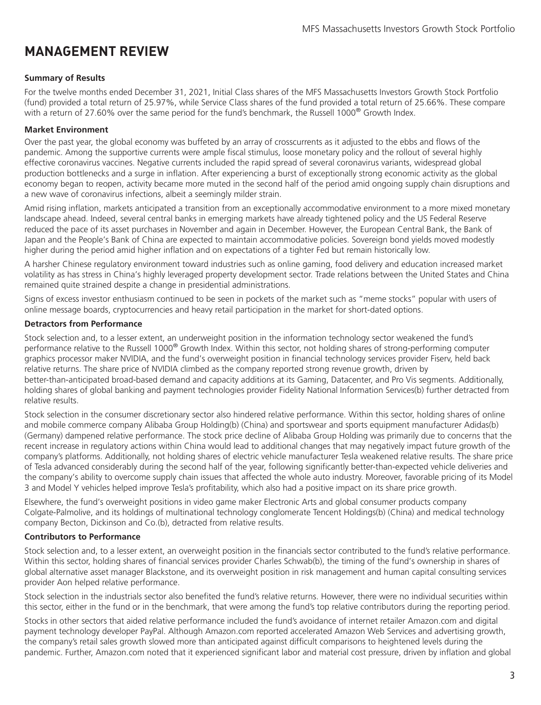### <span id="page-4-0"></span>**MANAGEMENT REVIEW**

#### **Summary of Results**

For the twelve months ended December 31, 2021, Initial Class shares of the MFS Massachusetts Investors Growth Stock Portfolio (fund) provided a total return of 25.97%, while Service Class shares of the fund provided a total return of 25.66%. These compare with a return of 27.60% over the same period for the fund's benchmark, the Russell 1000<sup>®</sup> Growth Index.

#### **Market Environment**

Over the past year, the global economy was buffeted by an array of crosscurrents as it adjusted to the ebbs and flows of the pandemic. Among the supportive currents were ample fiscal stimulus, loose monetary policy and the rollout of several highly effective coronavirus vaccines. Negative currents included the rapid spread of several coronavirus variants, widespread global production bottlenecks and a surge in inflation. After experiencing a burst of exceptionally strong economic activity as the global economy began to reopen, activity became more muted in the second half of the period amid ongoing supply chain disruptions and a new wave of coronavirus infections, albeit a seemingly milder strain.

Amid rising inflation, markets anticipated a transition from an exceptionally accommodative environment to a more mixed monetary landscape ahead. Indeed, several central banks in emerging markets have already tightened policy and the US Federal Reserve reduced the pace of its asset purchases in November and again in December. However, the European Central Bank, the Bank of Japan and the People's Bank of China are expected to maintain accommodative policies. Sovereign bond yields moved modestly higher during the period amid higher inflation and on expectations of a tighter Fed but remain historically low.

A harsher Chinese regulatory environment toward industries such as online gaming, food delivery and education increased market volatility as has stress in China's highly leveraged property development sector. Trade relations between the United States and China remained quite strained despite a change in presidential administrations.

Signs of excess investor enthusiasm continued to be seen in pockets of the market such as "meme stocks" popular with users of online message boards, cryptocurrencies and heavy retail participation in the market for short-dated options.

#### **Detractors from Performance**

Stock selection and, to a lesser extent, an underweight position in the information technology sector weakened the fund's performance relative to the Russell 1000® Growth Index. Within this sector, not holding shares of strong-performing computer graphics processor maker NVIDIA, and the fund's overweight position in financial technology services provider Fiserv, held back relative returns. The share price of NVIDIA climbed as the company reported strong revenue growth, driven by better-than-anticipated broad-based demand and capacity additions at its Gaming, Datacenter, and Pro Vis segments. Additionally, holding shares of global banking and payment technologies provider Fidelity National Information Services(b) further detracted from relative results.

Stock selection in the consumer discretionary sector also hindered relative performance. Within this sector, holding shares of online and mobile commerce company Alibaba Group Holding(b) (China) and sportswear and sports equipment manufacturer Adidas(b) (Germany) dampened relative performance. The stock price decline of Alibaba Group Holding was primarily due to concerns that the recent increase in regulatory actions within China would lead to additional changes that may negatively impact future growth of the company's platforms. Additionally, not holding shares of electric vehicle manufacturer Tesla weakened relative results. The share price of Tesla advanced considerably during the second half of the year, following significantly better-than-expected vehicle deliveries and the company's ability to overcome supply chain issues that affected the whole auto industry. Moreover, favorable pricing of its Model 3 and Model Y vehicles helped improve Tesla's profitability, which also had a positive impact on its share price growth.

Elsewhere, the fund's overweight positions in video game maker Electronic Arts and global consumer products company Colgate-Palmolive, and its holdings of multinational technology conglomerate Tencent Holdings(b) (China) and medical technology company Becton, Dickinson and Co.(b), detracted from relative results.

#### **Contributors to Performance**

Stock selection and, to a lesser extent, an overweight position in the financials sector contributed to the fund's relative performance. Within this sector, holding shares of financial services provider Charles Schwab(b), the timing of the fund's ownership in shares of global alternative asset manager Blackstone, and its overweight position in risk management and human capital consulting services provider Aon helped relative performance.

Stock selection in the industrials sector also benefited the fund's relative returns. However, there were no individual securities within this sector, either in the fund or in the benchmark, that were among the fund's top relative contributors during the reporting period.

Stocks in other sectors that aided relative performance included the fund's avoidance of internet retailer Amazon.com and digital payment technology developer PayPal. Although Amazon.com reported accelerated Amazon Web Services and advertising growth, the company's retail sales growth slowed more than anticipated against difficult comparisons to heightened levels during the pandemic. Further, Amazon.com noted that it experienced significant labor and material cost pressure, driven by inflation and global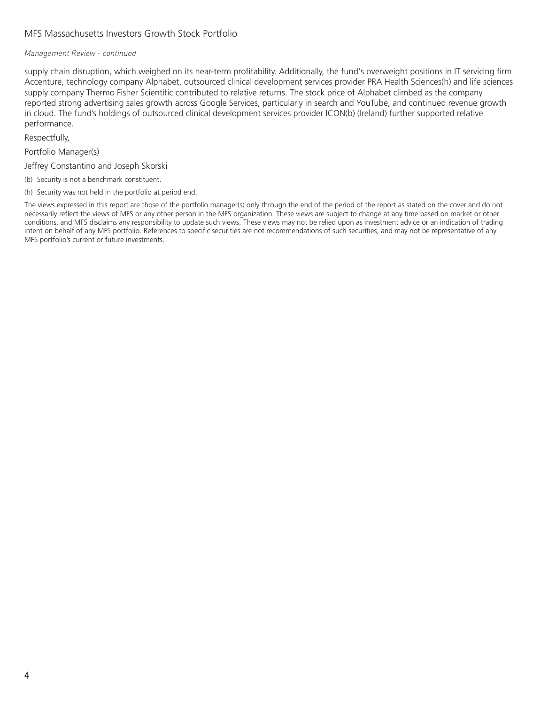#### MFS Massachusetts Investors Growth Stock Portfolio

#### *Management Review - continued*

supply chain disruption, which weighed on its near-term profitability. Additionally, the fund's overweight positions in IT servicing firm Accenture, technology company Alphabet, outsourced clinical development services provider PRA Health Sciences(h) and life sciences supply company Thermo Fisher Scientific contributed to relative returns. The stock price of Alphabet climbed as the company reported strong advertising sales growth across Google Services, particularly in search and YouTube, and continued revenue growth in cloud. The fund's holdings of outsourced clinical development services provider ICON(b) (Ireland) further supported relative performance.

Respectfully,

Portfolio Manager(s)

Jeffrey Constantino and Joseph Skorski

- (b) Security is not a benchmark constituent.
- (h) Security was not held in the portfolio at period end.

The views expressed in this report are those of the portfolio manager(s) only through the end of the period of the report as stated on the cover and do not necessarily reflect the views of MFS or any other person in the MFS organization. These views are subject to change at any time based on market or other conditions, and MFS disclaims any responsibility to update such views. These views may not be relied upon as investment advice or an indication of trading intent on behalf of any MFS portfolio. References to specific securities are not recommendations of such securities, and may not be representative of any MFS portfolio's current or future investments.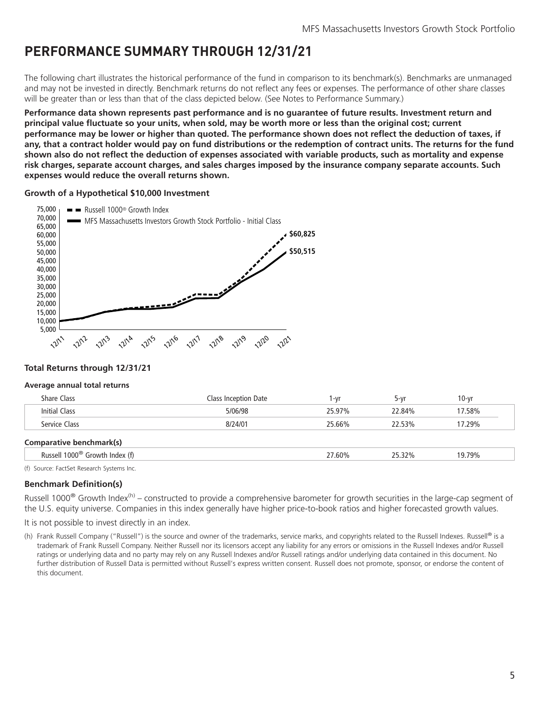### <span id="page-6-0"></span>**PERFORMANCE SUMMARY THROUGH 12/31/21**

The following chart illustrates the historical performance of the fund in comparison to its benchmark(s). Benchmarks are unmanaged and may not be invested in directly. Benchmark returns do not reflect any fees or expenses. The performance of other share classes will be greater than or less than that of the class depicted below. (See Notes to Performance Summary.)

**Performance data shown represents past performance and is no guarantee of future results. Investment return and principal value fluctuate so your units, when sold, may be worth more or less than the original cost; current performance may be lower or higher than quoted. The performance shown does not reflect the deduction of taxes, if any, that a contract holder would pay on fund distributions or the redemption of contract units. The returns for the fund shown also do not reflect the deduction of expenses associated with variable products, such as mortality and expense risk charges, separate account charges, and sales charges imposed by the insurance company separate accounts. Such expenses would reduce the overall returns shown.**

#### **Growth of a Hypothetical \$10,000 Investment**



#### **Total Returns through 12/31/21**

#### **Average annual total returns**

| <b>Share Class</b>       | Class Inception Date | l -vr  | 5-vr   | $10 - vr$ |  |
|--------------------------|----------------------|--------|--------|-----------|--|
| Initial Class            | 5/06/98              | 25.97% | 22.84% | 17.58%    |  |
| Service Class            | 8/24/01              | 25.66% | 22.53% | 17.29%    |  |
| Comparative benchmark(s) |                      |        |        |           |  |

| Russell 1000 <sup>®</sup> Growth Index (f) | .60% | 32% | 19 79% |  |
|--------------------------------------------|------|-----|--------|--|
| f) Causes FactCot Desasseb Custome Inc.    |      |     |        |  |

(f) Source: FactSet Research Systems Inc.

### **Benchmark Definition(s)**

Russell 1000<sup>®</sup> Growth Index<sup>(h)</sup> – constructed to provide a comprehensive barometer for growth securities in the large-cap segment of the U.S. equity universe. Companies in this index generally have higher price-to-book ratios and higher forecasted growth values.

It is not possible to invest directly in an index.

(h) Frank Russell Company ("Russell") is the source and owner of the trademarks, service marks, and copyrights related to the Russell Indexes. Russell® is a trademark of Frank Russell Company. Neither Russell nor its licensors accept any liability for any errors or omissions in the Russell Indexes and/or Russell ratings or underlying data and no party may rely on any Russell Indexes and/or Russell ratings and/or underlying data contained in this document. No further distribution of Russell Data is permitted without Russell's express written consent. Russell does not promote, sponsor, or endorse the content of this document.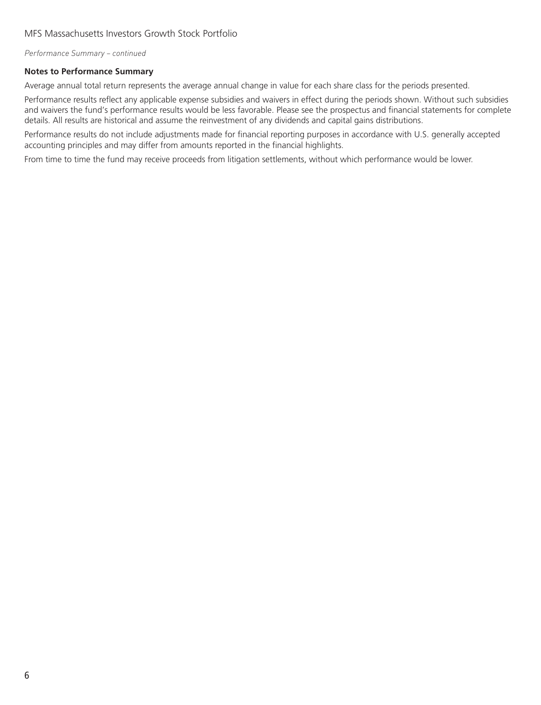*Performance Summary – continued*

#### **Notes to Performance Summary**

Average annual total return represents the average annual change in value for each share class for the periods presented.

Performance results reflect any applicable expense subsidies and waivers in effect during the periods shown. Without such subsidies and waivers the fund's performance results would be less favorable. Please see the prospectus and financial statements for complete details. All results are historical and assume the reinvestment of any dividends and capital gains distributions.

Performance results do not include adjustments made for financial reporting purposes in accordance with U.S. generally accepted accounting principles and may differ from amounts reported in the financial highlights.

From time to time the fund may receive proceeds from litigation settlements, without which performance would be lower.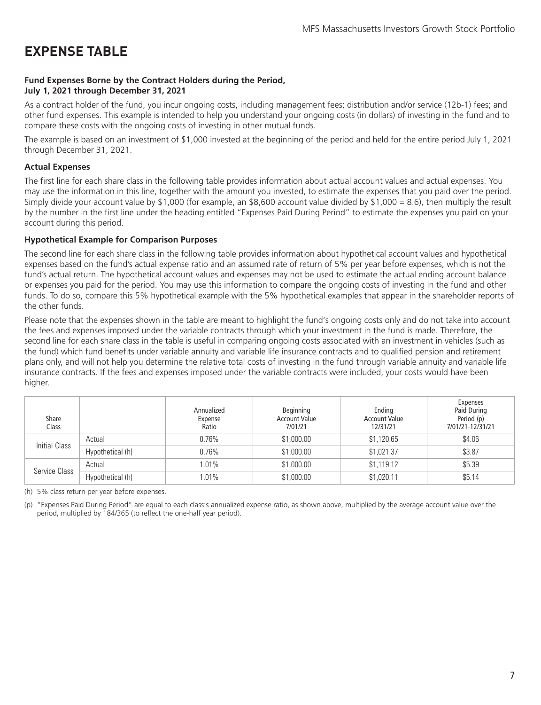### <span id="page-8-0"></span>**EXPENSE TABLE**

#### **Fund Expenses Borne by the Contract Holders during the Period, July 1, 2021 through December 31, 2021**

As a contract holder of the fund, you incur ongoing costs, including management fees; distribution and/or service (12b-1) fees; and other fund expenses. This example is intended to help you understand your ongoing costs (in dollars) of investing in the fund and to compare these costs with the ongoing costs of investing in other mutual funds.

The example is based on an investment of \$1,000 invested at the beginning of the period and held for the entire period July 1, 2021 through December 31, 2021.

#### **Actual Expenses**

The first line for each share class in the following table provides information about actual account values and actual expenses. You may use the information in this line, together with the amount you invested, to estimate the expenses that you paid over the period. Simply divide your account value by \$1,000 (for example, an \$8,600 account value divided by \$1,000 = 8.6), then multiply the result by the number in the first line under the heading entitled "Expenses Paid During Period" to estimate the expenses you paid on your account during this period.

#### **Hypothetical Example for Comparison Purposes**

The second line for each share class in the following table provides information about hypothetical account values and hypothetical expenses based on the fund's actual expense ratio and an assumed rate of return of 5% per year before expenses, which is not the fund's actual return. The hypothetical account values and expenses may not be used to estimate the actual ending account balance or expenses you paid for the period. You may use this information to compare the ongoing costs of investing in the fund and other funds. To do so, compare this 5% hypothetical example with the 5% hypothetical examples that appear in the shareholder reports of the other funds.

Please note that the expenses shown in the table are meant to highlight the fund's ongoing costs only and do not take into account the fees and expenses imposed under the variable contracts through which your investment in the fund is made. Therefore, the second line for each share class in the table is useful in comparing ongoing costs associated with an investment in vehicles (such as the fund) which fund benefits under variable annuity and variable life insurance contracts and to qualified pension and retirement plans only, and will not help you determine the relative total costs of investing in the fund through variable annuity and variable life insurance contracts. If the fees and expenses imposed under the variable contracts were included, your costs would have been higher.

| Share<br>Class |                  | Annualized<br>Expense<br>Ratio | Beginning<br><b>Account Value</b><br>7/01/21 | Ending<br><b>Account Value</b><br>12/31/21 | <b>Expenses</b><br>Paid During<br>Period (p)<br>7/01/21-12/31/21 |
|----------------|------------------|--------------------------------|----------------------------------------------|--------------------------------------------|------------------------------------------------------------------|
| Initial Class  | Actual           | 0.76%                          | \$1,000.00                                   | \$1,120.65                                 | \$4.06                                                           |
|                | Hypothetical (h) | 0.76%                          | \$1,000.00                                   | \$1,021.37                                 | \$3.87                                                           |
|                | Actual           | 1.01%                          | \$1,000.00                                   | \$1,119.12                                 | \$5.39                                                           |
| Service Class  | Hypothetical (h) | 1.01%                          | \$1,000.00                                   | \$1,020.11                                 | \$5.14                                                           |

(h) 5% class return per year before expenses.

(p) "Expenses Paid During Period" are equal to each class's annualized expense ratio, as shown above, multiplied by the average account value over the period, multiplied by 184/365 (to reflect the one-half year period).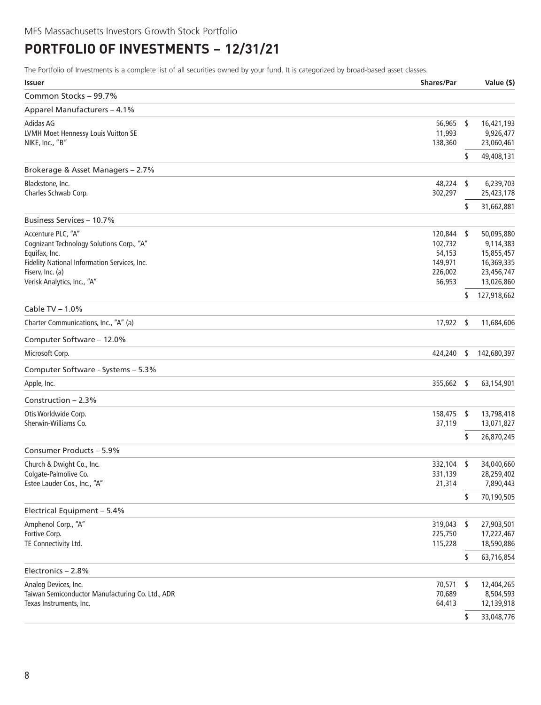### <span id="page-9-0"></span>**PORTFOLIO OF INVESTMENTS − 12/31/21**

The Portfolio of Investments is a complete list of all securities owned by your fund. It is categorized by broad-based asset classes.

| <b>Issuer</b>                                                                                                                                                                       | <b>Shares/Par</b>                                               |      | Value (\$)                                                                      |
|-------------------------------------------------------------------------------------------------------------------------------------------------------------------------------------|-----------------------------------------------------------------|------|---------------------------------------------------------------------------------|
| Common Stocks - 99.7%                                                                                                                                                               |                                                                 |      |                                                                                 |
| Apparel Manufacturers - 4.1%                                                                                                                                                        |                                                                 |      |                                                                                 |
| Adidas AG<br>LVMH Moet Hennessy Louis Vuitton SE<br>NIKE, Inc., "B"                                                                                                                 | 56,965 \$<br>11,993<br>138,360                                  |      | 16,421,193<br>9,926,477<br>23,060,461                                           |
|                                                                                                                                                                                     |                                                                 | \$   | 49,408,131                                                                      |
| Brokerage & Asset Managers - 2.7%                                                                                                                                                   |                                                                 |      |                                                                                 |
| Blackstone, Inc.<br>Charles Schwab Corp.                                                                                                                                            | 48,224<br>302,297                                               | S    | 6,239,703<br>25,423,178                                                         |
|                                                                                                                                                                                     |                                                                 | \$   | 31,662,881                                                                      |
| Business Services - 10.7%                                                                                                                                                           |                                                                 |      |                                                                                 |
| Accenture PLC, "A"<br>Cognizant Technology Solutions Corp., "A"<br>Equifax, Inc.<br>Fidelity National Information Services, Inc.<br>Fiserv, Inc. (a)<br>Verisk Analytics, Inc., "A" | 120,844 \$<br>102,732<br>54,153<br>149,971<br>226,002<br>56,953 |      | 50,095,880<br>9,114,383<br>15,855,457<br>16,369,335<br>23,456,747<br>13,026,860 |
|                                                                                                                                                                                     |                                                                 | s    | 127,918,662                                                                     |
| Cable TV $- 1.0\%$                                                                                                                                                                  |                                                                 |      |                                                                                 |
| Charter Communications, Inc., "A" (a)                                                                                                                                               | 17,922                                                          | S    | 11,684,606                                                                      |
| Computer Software - 12.0%                                                                                                                                                           |                                                                 |      |                                                                                 |
| Microsoft Corp.                                                                                                                                                                     | 424,240                                                         | S    | 142,680,397                                                                     |
| Computer Software - Systems - 5.3%                                                                                                                                                  |                                                                 |      |                                                                                 |
| Apple, Inc.                                                                                                                                                                         | 355,662 \$                                                      |      | 63,154,901                                                                      |
| Construction $-2.3%$                                                                                                                                                                |                                                                 |      |                                                                                 |
| Otis Worldwide Corp.<br>Sherwin-Williams Co.                                                                                                                                        | 158,475<br>37,119                                               | -S   | 13,798,418<br>13,071,827                                                        |
|                                                                                                                                                                                     |                                                                 | \$   | 26,870,245                                                                      |
| Consumer Products - 5.9%                                                                                                                                                            |                                                                 |      |                                                                                 |
| Church & Dwight Co., Inc.<br>Colgate-Palmolive Co.<br>Estee Lauder Cos., Inc., "A"                                                                                                  | 332,104<br>331,139<br>21,314                                    | - \$ | 34,040,660<br>28,259,402<br>7,890,443                                           |
|                                                                                                                                                                                     |                                                                 | S    | 70,190,505                                                                      |
| Electrical Equipment - 5.4%                                                                                                                                                         |                                                                 |      |                                                                                 |
| Amphenol Corp., "A"<br>Fortive Corp.<br>TE Connectivity Ltd.                                                                                                                        | 319,043<br>225,750<br>115,228                                   | -S   | 27,903,501<br>17,222,467<br>18,590,886                                          |
|                                                                                                                                                                                     |                                                                 | \$   | 63,716,854                                                                      |
| Electronics - 2.8%                                                                                                                                                                  |                                                                 |      |                                                                                 |
| Analog Devices, Inc.<br>Taiwan Semiconductor Manufacturing Co. Ltd., ADR<br>Texas Instruments, Inc.                                                                                 | 70,571<br>70,689<br>64,413                                      | -\$  | 12,404,265<br>8,504,593<br>12,139,918                                           |
|                                                                                                                                                                                     |                                                                 | \$   | 33,048,776                                                                      |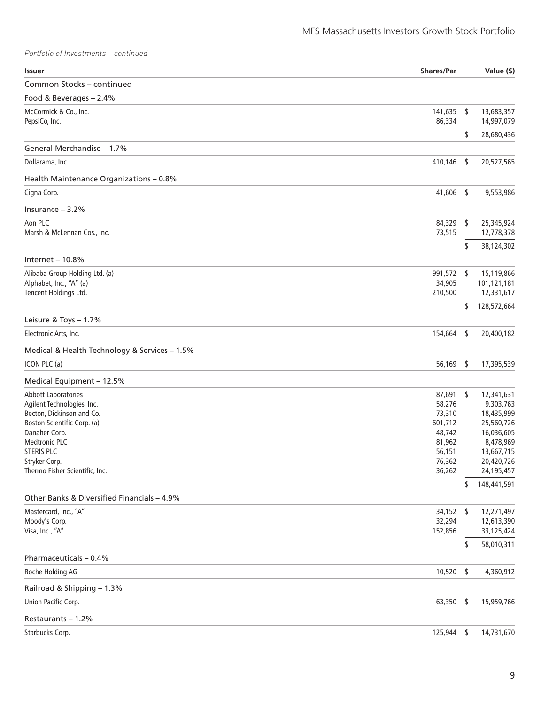*Portfolio of Investments – continued*

| Issuer                                                 | <b>Shares/Par</b> |     | Value (\$)               |
|--------------------------------------------------------|-------------------|-----|--------------------------|
| Common Stocks - continued                              |                   |     |                          |
| Food & Beverages - 2.4%                                |                   |     |                          |
| McCormick & Co., Inc.                                  | 141,635           | \$  | 13,683,357               |
| PepsiCo, Inc.                                          | 86,334            |     | 14,997,079               |
| General Merchandise - 1.7%                             |                   | \$  | 28,680,436               |
| Dollarama, Inc.                                        | 410,146           | -\$ | 20,527,565               |
|                                                        |                   |     |                          |
| Health Maintenance Organizations - 0.8%<br>Cigna Corp. | 41,606            | \$  | 9,553,986                |
|                                                        |                   |     |                          |
| Insurance $-3.2%$                                      |                   |     |                          |
| Aon PLC<br>Marsh & McLennan Cos., Inc.                 | 84,329<br>73,515  | \$  | 25,345,924<br>12,778,378 |
|                                                        |                   | \$  | 38,124,302               |
| Internet $-10.8%$                                      |                   |     |                          |
| Alibaba Group Holding Ltd. (a)                         | 991,572 \$        |     | 15,119,866               |
| Alphabet, Inc., "A" (a)                                | 34,905            |     | 101,121,181              |
| Tencent Holdings Ltd.                                  | 210,500           |     | 12,331,617               |
| Leisure & Toys - 1.7%                                  |                   | \$  | 128,572,664              |
| Electronic Arts, Inc.                                  | 154,664 \$        |     | 20,400,182               |
| Medical & Health Technology & Services - 1.5%          |                   |     |                          |
| ICON PLC (a)                                           | 56,169            | \$  | 17,395,539               |
| Medical Equipment - 12.5%                              |                   |     |                          |
| <b>Abbott Laboratories</b>                             | 87,691            | \$  | 12,341,631               |
| Agilent Technologies, Inc.                             | 58,276            |     | 9,303,763                |
| Becton, Dickinson and Co.                              | 73,310            |     | 18,435,999               |
| Boston Scientific Corp. (a)                            | 601,712           |     | 25,560,726               |
| Danaher Corp.                                          | 48,742            |     | 16,036,605               |
| <b>Medtronic PLC</b>                                   | 81,962            |     | 8,478,969                |
| <b>STERIS PLC</b>                                      | 56,151            |     | 13,667,715               |
| Stryker Corp.                                          | 76,362            |     | 20,420,726               |
| Thermo Fisher Scientific, Inc.                         | 36,262            | \$  | 24,195,457               |
| Other Banks & Diversified Financials - 4.9%            |                   |     | 148,441,591              |
| Mastercard, Inc., "A"                                  | 34,152            | -\$ | 12,271,497               |
| Moody's Corp.                                          | 32,294            |     | 12,613,390               |
| Visa, Inc., "A"                                        | 152,856           |     | 33,125,424               |
|                                                        |                   | \$  | 58,010,311               |
| Pharmaceuticals - 0.4%                                 |                   |     |                          |
| Roche Holding AG                                       | 10,520            | -\$ | 4,360,912                |
| Railroad & Shipping - 1.3%                             |                   |     |                          |
| Union Pacific Corp.                                    | 63,350            | \$  | 15,959,766               |
| Restaurants - 1.2%                                     |                   |     |                          |
| Starbucks Corp.                                        | 125,944           | -\$ | 14,731,670               |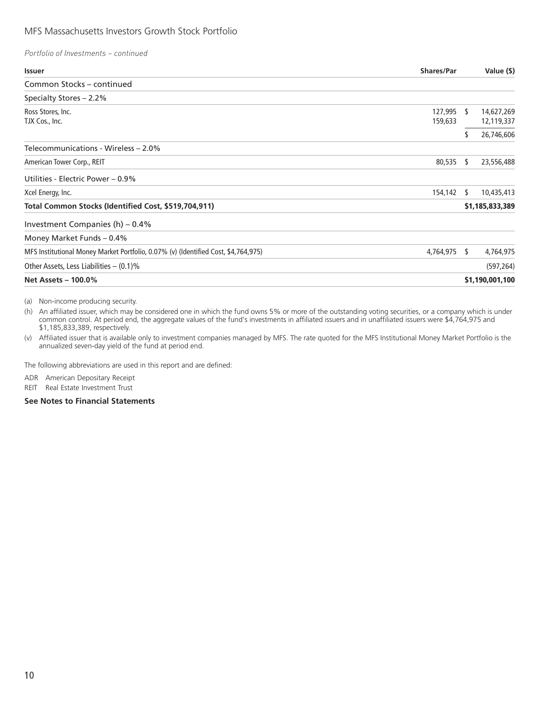#### MFS Massachusetts Investors Growth Stock Portfolio

| Portfolio of Investments - continued |
|--------------------------------------|
|--------------------------------------|

| <b>Issuer</b>                                                                      | <b>Shares/Par</b> |    | Value (\$)      |
|------------------------------------------------------------------------------------|-------------------|----|-----------------|
| Common Stocks - continued                                                          |                   |    |                 |
| Specialty Stores - 2.2%                                                            |                   |    |                 |
| Ross Stores, Inc.                                                                  | 127,995           | S  | 14,627,269      |
| TJX Cos., Inc.                                                                     | 159,633           |    | 12,119,337      |
|                                                                                    |                   |    | 26,746,606      |
| Telecommunications - Wireless – 2.0%                                               |                   |    |                 |
| American Tower Corp., REIT                                                         | 80,535            | S  | 23,556,488      |
| Utilities - Electric Power – 0.9%                                                  |                   |    |                 |
| Xcel Energy, Inc.                                                                  | 154,142           | S  | 10,435,413      |
| Total Common Stocks (Identified Cost, \$519,704,911)                               |                   |    | \$1,185,833,389 |
| Investment Companies $(h) - 0.4\%$                                                 |                   |    |                 |
| Money Market Funds - 0.4%                                                          |                   |    |                 |
| MFS Institutional Money Market Portfolio, 0.07% (v) (Identified Cost, \$4,764,975) | 4,764,975         | s. | 4,764,975       |
| Other Assets, Less Liabilities $-$ (0.1)%                                          |                   |    | (597, 264)      |
| <b>Net Assets - 100.0%</b>                                                         |                   |    | \$1,190,001,100 |

(a) Non-income producing security.

(h) An affiliated issuer, which may be considered one in which the fund owns 5% or more of the outstanding voting securities, or a company which is under common control. At period end, the aggregate values of the fund's investments in affiliated issuers and in unaffiliated issuers were \$4,764,975 and \$1,185,833,389, respectively.

(v) Affiliated issuer that is available only to investment companies managed by MFS. The rate quoted for the MFS Institutional Money Market Portfolio is the annualized seven-day yield of the fund at period end.

The following abbreviations are used in this report and are defined:

ADR American Depositary Receipt

REIT Real Estate Investment Trust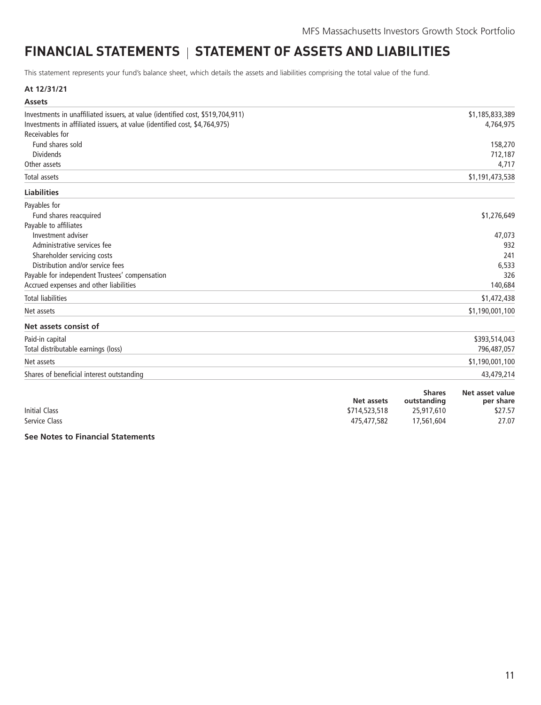## <span id="page-12-0"></span>**FINANCIAL STATEMENTS | STATEMENT OF ASSETS AND LIABILITIES**

This statement represents your fund's balance sheet, which details the assets and liabilities comprising the total value of the fund.

#### **At 12/31/21**

| <b>Assets</b>                                                                  |                 |
|--------------------------------------------------------------------------------|-----------------|
| Investments in unaffiliated issuers, at value (identified cost, \$519,704,911) | \$1,185,833,389 |
| Investments in affiliated issuers, at value (identified cost, \$4,764,975)     | 4,764,975       |
| Receivables for                                                                |                 |
| Fund shares sold                                                               | 158,270         |
| <b>Dividends</b>                                                               | 712,187         |
| Other assets                                                                   | 4,717           |
| Total assets                                                                   | \$1,191,473,538 |
| <b>Liabilities</b>                                                             |                 |
| Payables for                                                                   |                 |
| Fund shares reacquired                                                         | \$1,276,649     |
| Payable to affiliates                                                          |                 |
| Investment adviser                                                             | 47,073          |
| Administrative services fee                                                    | 932             |
| Shareholder servicing costs                                                    | 241             |
| Distribution and/or service fees                                               | 6,533           |
| Payable for independent Trustees' compensation                                 | 326             |
| Accrued expenses and other liabilities                                         | 140,684         |
| <b>Total liabilities</b>                                                       | \$1,472,438     |
| Net assets                                                                     | \$1,190,001,100 |
| Net assets consist of                                                          |                 |
| Paid-in capital                                                                | \$393,514,043   |
| Total distributable earnings (loss)                                            | 796,487,057     |
| Net assets                                                                     | \$1,190,001,100 |
| Shares of beneficial interest outstanding                                      | 43,479,214      |

|                      | Net assets    | <b>Shares</b><br>outstanding | Net asset value<br>per share |
|----------------------|---------------|------------------------------|------------------------------|
| <b>Initial Class</b> | \$714,523,518 | 25,917,610                   | \$27.57                      |
| Service Class        | 475,477,582   | 17,561,604                   | 27.07                        |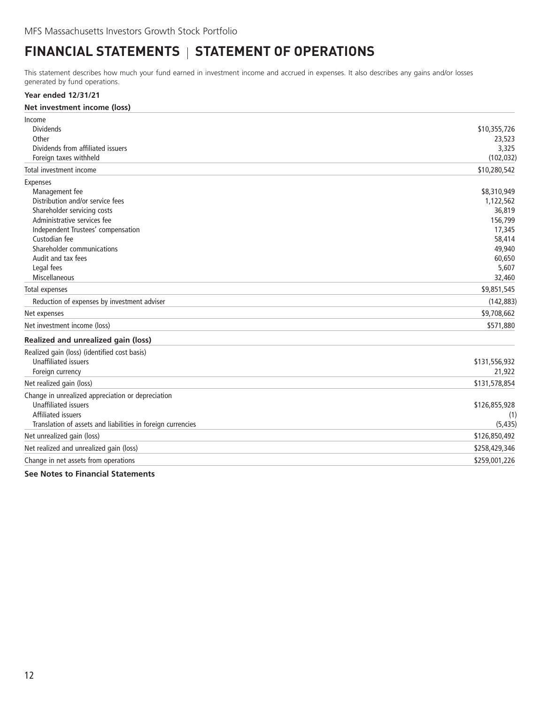### <span id="page-13-0"></span>**FINANCIAL STATEMENTS | STATEMENT OF OPERATIONS**

This statement describes how much your fund earned in investment income and accrued in expenses. It also describes any gains and/or losses generated by fund operations.

#### **Year ended 12/31/21**

| Net investment income (loss)                                                                                                                                                                                                                          |                                                                                                |
|-------------------------------------------------------------------------------------------------------------------------------------------------------------------------------------------------------------------------------------------------------|------------------------------------------------------------------------------------------------|
| Income<br><b>Dividends</b><br>Other<br>Dividends from affiliated issuers<br>Foreign taxes withheld                                                                                                                                                    | \$10,355,726<br>23,523<br>3,325<br>(102, 032)                                                  |
| Total investment income                                                                                                                                                                                                                               | \$10,280,542                                                                                   |
| Expenses<br>Management fee<br>Distribution and/or service fees<br>Shareholder servicing costs<br>Administrative services fee<br>Independent Trustees' compensation<br>Custodian fee<br>Shareholder communications<br>Audit and tax fees<br>Legal fees | \$8,310,949<br>1,122,562<br>36,819<br>156,799<br>17,345<br>58,414<br>49,940<br>60,650<br>5,607 |
| <b>Miscellaneous</b>                                                                                                                                                                                                                                  | 32,460                                                                                         |
| Total expenses<br>Reduction of expenses by investment adviser                                                                                                                                                                                         | \$9,851,545<br>(142, 883)                                                                      |
| Net expenses                                                                                                                                                                                                                                          | \$9,708,662                                                                                    |
| Net investment income (loss)                                                                                                                                                                                                                          | \$571,880                                                                                      |
| Realized and unrealized gain (loss)                                                                                                                                                                                                                   |                                                                                                |
| Realized gain (loss) (identified cost basis)<br><b>Unaffiliated issuers</b><br>Foreign currency                                                                                                                                                       | \$131,556,932<br>21,922                                                                        |
| Net realized gain (loss)                                                                                                                                                                                                                              | \$131,578,854                                                                                  |
| Change in unrealized appreciation or depreciation<br><b>Unaffiliated issuers</b><br>Affiliated issuers<br>Translation of assets and liabilities in foreign currencies                                                                                 | \$126,855,928<br>(1)<br>(5, 435)                                                               |
| Net unrealized gain (loss)                                                                                                                                                                                                                            | \$126,850,492                                                                                  |
| Net realized and unrealized gain (loss)                                                                                                                                                                                                               | \$258,429,346                                                                                  |
| Change in net assets from operations                                                                                                                                                                                                                  | \$259,001,226                                                                                  |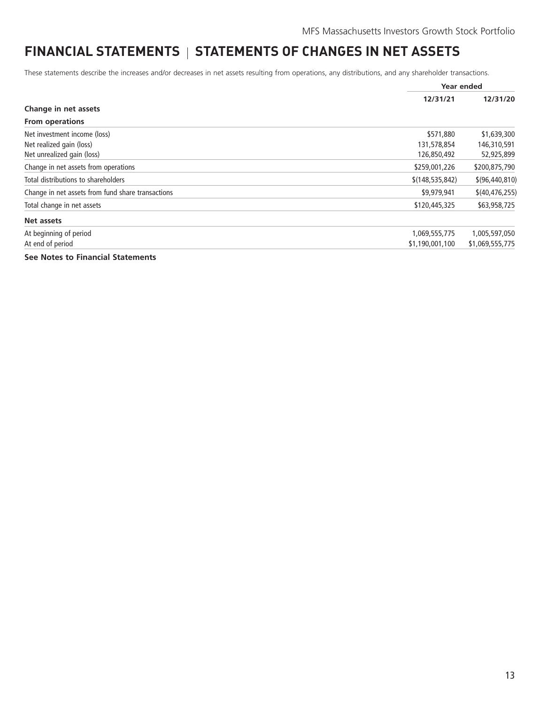### <span id="page-14-0"></span>**FINANCIAL STATEMENTS** | STATEMENTS OF CHANGES IN NET ASSETS

These statements describe the increases and/or decreases in net assets resulting from operations, any distributions, and any shareholder transactions.

|                                                   |                   | Year ended       |
|---------------------------------------------------|-------------------|------------------|
|                                                   | 12/31/21          | 12/31/20         |
| Change in net assets                              |                   |                  |
| <b>From operations</b>                            |                   |                  |
| Net investment income (loss)                      | \$571,880         | \$1,639,300      |
| Net realized gain (loss)                          | 131,578,854       | 146,310,591      |
| Net unrealized gain (loss)                        | 126,850,492       | 52,925,899       |
| Change in net assets from operations              | \$259,001,226     | \$200,875,790    |
| Total distributions to shareholders               | \$(148, 535, 842) | \$(96, 440, 810) |
| Change in net assets from fund share transactions | \$9,979,941       | \$(40, 476, 255) |
| Total change in net assets                        | \$120,445,325     | \$63,958,725     |
| Net assets                                        |                   |                  |
| At beginning of period                            | 1,069,555,775     | 1,005,597,050    |
| At end of period                                  | \$1,190,001,100   | \$1,069,555,775  |
| See Notes to Financial Statements                 |                   |                  |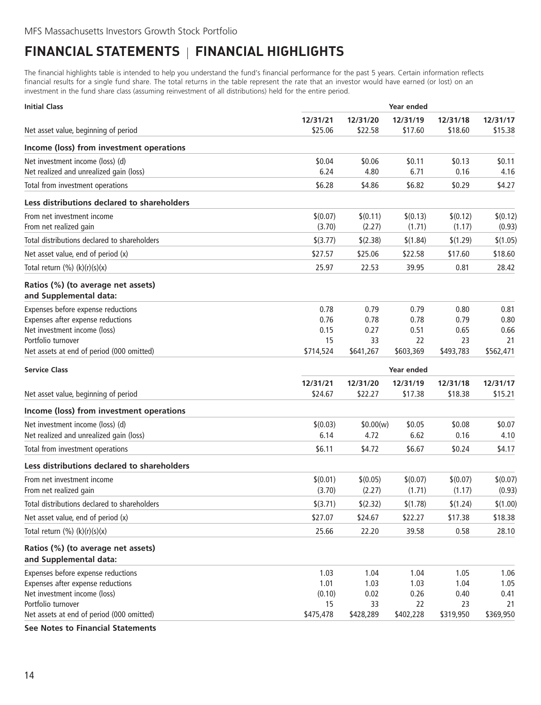## <span id="page-15-0"></span>**FINANCIAL STATEMENTS FINANCIAL HIGHLIGHTS**

The financial highlights table is intended to help you understand the fund's financial performance for the past 5 years. Certain information reflects financial results for a single fund share. The total returns in the table represent the rate that an investor would have earned (or lost) on an investment in the fund share class (assuming reinvestment of all distributions) held for the entire period.

| <b>Initial Class</b>                                         | Year ended          |                     |                     |                     |                     |
|--------------------------------------------------------------|---------------------|---------------------|---------------------|---------------------|---------------------|
|                                                              | 12/31/21            | 12/31/20            | 12/31/19            | 12/31/18            | 12/31/17            |
| Net asset value, beginning of period                         | \$25.06             | \$22.58             | \$17.60             | \$18.60             | \$15.38             |
| Income (loss) from investment operations                     |                     |                     |                     |                     |                     |
| Net investment income (loss) (d)                             | \$0.04              | \$0.06              | \$0.11              | \$0.13              | \$0.11              |
| Net realized and unrealized gain (loss)                      | 6.24                | 4.80                | 6.71                | 0.16                | 4.16                |
| Total from investment operations                             | \$6.28              | \$4.86              | \$6.82              | \$0.29              | \$4.27              |
| Less distributions declared to shareholders                  |                     |                     |                     |                     |                     |
| From net investment income                                   | \$(0.07)            | \$(0.11)            | \$(0.13)            | \$(0.12)            | \$(0.12)            |
| From net realized gain                                       | (3.70)              | (2.27)              | (1.71)              | (1.17)              | (0.93)              |
| Total distributions declared to shareholders                 | \$(3.77)            | \$(2.38)            | \$(1.84)            | \$(1.29)            | \$(1.05)            |
| Net asset value, end of period (x)                           | \$27.57             | \$25.06             | \$22.58             | \$17.60             | \$18.60             |
| Total return $(\%) (k)(r)(s)(x)$                             | 25.97               | 22.53               | 39.95               | 0.81                | 28.42               |
| Ratios (%) (to average net assets)                           |                     |                     |                     |                     |                     |
| and Supplemental data:                                       |                     |                     |                     |                     |                     |
| Expenses before expense reductions                           | 0.78                | 0.79                | 0.79                | 0.80                | 0.81                |
| Expenses after expense reductions                            | 0.76                | 0.78                | 0.78                | 0.79                | 0.80                |
| Net investment income (loss)<br>Portfolio turnover           | 0.15<br>15          | 0.27<br>33          | 0.51<br>22          | 0.65<br>23          | 0.66<br>21          |
| Net assets at end of period (000 omitted)                    | \$714,524           | \$641,267           | \$603,369           | \$493,783           | \$562,471           |
|                                                              |                     |                     |                     |                     |                     |
| <b>Service Class</b>                                         |                     |                     | Year ended          |                     |                     |
| Net asset value, beginning of period                         | 12/31/21<br>\$24.67 | 12/31/20<br>\$22.27 | 12/31/19<br>\$17.38 | 12/31/18<br>\$18.38 | 12/31/17<br>\$15.21 |
| Income (loss) from investment operations                     |                     |                     |                     |                     |                     |
| Net investment income (loss) (d)                             | \$(0.03)            | \$0.00(w)           | \$0.05              | \$0.08              | \$0.07              |
| Net realized and unrealized gain (loss)                      | 6.14                | 4.72                | 6.62                | 0.16                | 4.10                |
| Total from investment operations                             | \$6.11              | \$4.72              | \$6.67              | \$0.24              | \$4.17              |
| Less distributions declared to shareholders                  |                     |                     |                     |                     |                     |
| From net investment income                                   | \$(0.01)            | \$(0.05)            | \$(0.07)            | \$(0.07)            | \$(0.07)            |
| From net realized gain                                       | (3.70)              | (2.27)              | (1.71)              | (1.17)              | (0.93)              |
| Total distributions declared to shareholders                 | \$(3.71)            | \$(2.32)            | \$(1.78)            | \$(1.24)            | \$(1.00)            |
| Net asset value, end of period (x)                           | \$27.07             | \$24.67             | \$22.27             | \$17.38             | \$18.38             |
| Total return $(\%) (k)(r)(s)(x)$                             | 25.66               | 22.20               | 39.58               | 0.58                | 28.10               |
| Ratios (%) (to average net assets)<br>and Supplemental data: |                     |                     |                     |                     |                     |
| Expenses before expense reductions                           | 1.03                | 1.04                | 1.04                | 1.05                | 1.06                |
| Expenses after expense reductions                            | 1.01                | 1.03                | 1.03                | 1.04                | 1.05                |
| Net investment income (loss)                                 | (0.10)              | 0.02                | 0.26                | 0.40                | 0.41                |
| Portfolio turnover                                           | 15                  | 33                  | 22                  | 23                  | 21                  |
| Net assets at end of period (000 omitted)                    | \$475,478           | \$428,289           | \$402,228           | \$319,950           | \$369,950           |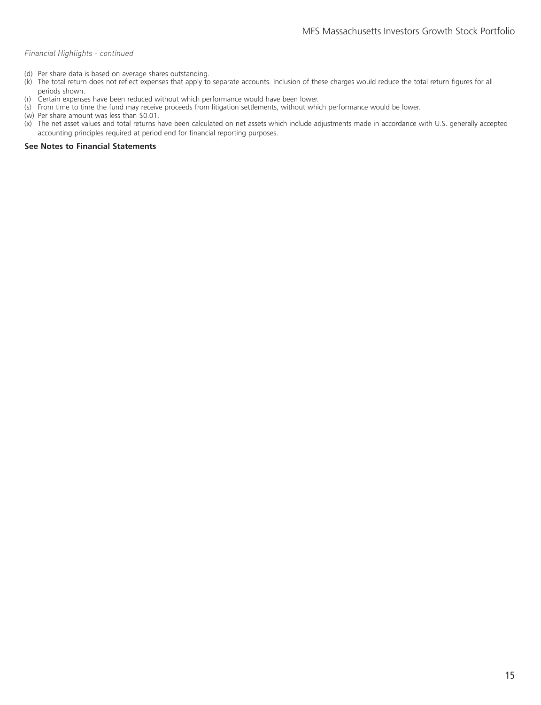#### *Financial Highlights - continued*

- (d) Per share data is based on average shares outstanding.
- (k) The total return does not reflect expenses that apply to separate accounts. Inclusion of these charges would reduce the total return figures for all periods shown.
- (r) Certain expenses have been reduced without which performance would have been lower.
- (s) From time to time the fund may receive proceeds from litigation settlements, without which performance would be lower.
- (w) Per share amount was less than \$0.01.
- (x) The net asset values and total returns have been calculated on net assets which include adjustments made in accordance with U.S. generally accepted accounting principles required at period end for financial reporting purposes.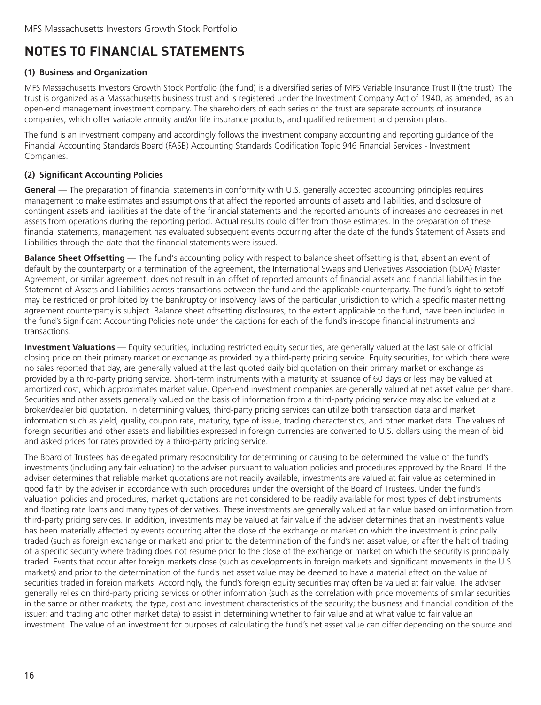### <span id="page-17-0"></span>**NOTES TO FINANCIAL STATEMENTS**

#### **(1) Business and Organization**

MFS Massachusetts Investors Growth Stock Portfolio (the fund) is a diversified series of MFS Variable Insurance Trust II (the trust). The trust is organized as a Massachusetts business trust and is registered under the Investment Company Act of 1940, as amended, as an open-end management investment company. The shareholders of each series of the trust are separate accounts of insurance companies, which offer variable annuity and/or life insurance products, and qualified retirement and pension plans.

The fund is an investment company and accordingly follows the investment company accounting and reporting guidance of the Financial Accounting Standards Board (FASB) Accounting Standards Codification Topic 946 Financial Services - Investment Companies.

#### **(2) Significant Accounting Policies**

**General** — The preparation of financial statements in conformity with U.S. generally accepted accounting principles requires management to make estimates and assumptions that affect the reported amounts of assets and liabilities, and disclosure of contingent assets and liabilities at the date of the financial statements and the reported amounts of increases and decreases in net assets from operations during the reporting period. Actual results could differ from those estimates. In the preparation of these financial statements, management has evaluated subsequent events occurring after the date of the fund's Statement of Assets and Liabilities through the date that the financial statements were issued.

**Balance Sheet Offsetting** — The fund's accounting policy with respect to balance sheet offsetting is that, absent an event of default by the counterparty or a termination of the agreement, the International Swaps and Derivatives Association (ISDA) Master Agreement, or similar agreement, does not result in an offset of reported amounts of financial assets and financial liabilities in the Statement of Assets and Liabilities across transactions between the fund and the applicable counterparty. The fund's right to setoff may be restricted or prohibited by the bankruptcy or insolvency laws of the particular jurisdiction to which a specific master netting agreement counterparty is subject. Balance sheet offsetting disclosures, to the extent applicable to the fund, have been included in the fund's Significant Accounting Policies note under the captions for each of the fund's in-scope financial instruments and transactions.

**Investment Valuations** — Equity securities, including restricted equity securities, are generally valued at the last sale or official closing price on their primary market or exchange as provided by a third-party pricing service. Equity securities, for which there were no sales reported that day, are generally valued at the last quoted daily bid quotation on their primary market or exchange as provided by a third-party pricing service. Short-term instruments with a maturity at issuance of 60 days or less may be valued at amortized cost, which approximates market value. Open-end investment companies are generally valued at net asset value per share. Securities and other assets generally valued on the basis of information from a third-party pricing service may also be valued at a broker/dealer bid quotation. In determining values, third-party pricing services can utilize both transaction data and market information such as yield, quality, coupon rate, maturity, type of issue, trading characteristics, and other market data. The values of foreign securities and other assets and liabilities expressed in foreign currencies are converted to U.S. dollars using the mean of bid and asked prices for rates provided by a third-party pricing service.

The Board of Trustees has delegated primary responsibility for determining or causing to be determined the value of the fund's investments (including any fair valuation) to the adviser pursuant to valuation policies and procedures approved by the Board. If the adviser determines that reliable market quotations are not readily available, investments are valued at fair value as determined in good faith by the adviser in accordance with such procedures under the oversight of the Board of Trustees. Under the fund's valuation policies and procedures, market quotations are not considered to be readily available for most types of debt instruments and floating rate loans and many types of derivatives. These investments are generally valued at fair value based on information from third-party pricing services. In addition, investments may be valued at fair value if the adviser determines that an investment's value has been materially affected by events occurring after the close of the exchange or market on which the investment is principally traded (such as foreign exchange or market) and prior to the determination of the fund's net asset value, or after the halt of trading of a specific security where trading does not resume prior to the close of the exchange or market on which the security is principally traded. Events that occur after foreign markets close (such as developments in foreign markets and significant movements in the U.S. markets) and prior to the determination of the fund's net asset value may be deemed to have a material effect on the value of securities traded in foreign markets. Accordingly, the fund's foreign equity securities may often be valued at fair value. The adviser generally relies on third-party pricing services or other information (such as the correlation with price movements of similar securities in the same or other markets; the type, cost and investment characteristics of the security; the business and financial condition of the issuer; and trading and other market data) to assist in determining whether to fair value and at what value to fair value an investment. The value of an investment for purposes of calculating the fund's net asset value can differ depending on the source and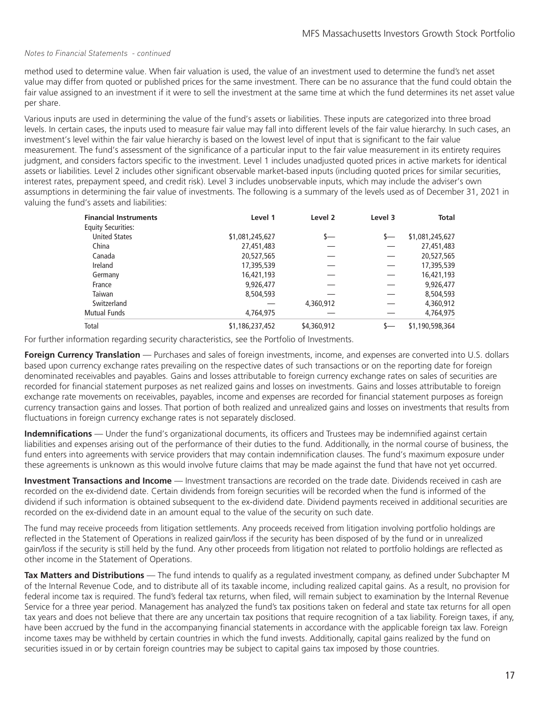#### *Notes to Financial Statements - continued*

method used to determine value. When fair valuation is used, the value of an investment used to determine the fund's net asset value may differ from quoted or published prices for the same investment. There can be no assurance that the fund could obtain the fair value assigned to an investment if it were to sell the investment at the same time at which the fund determines its net asset value per share.

Various inputs are used in determining the value of the fund's assets or liabilities. These inputs are categorized into three broad levels. In certain cases, the inputs used to measure fair value may fall into different levels of the fair value hierarchy. In such cases, an investment's level within the fair value hierarchy is based on the lowest level of input that is significant to the fair value measurement. The fund's assessment of the significance of a particular input to the fair value measurement in its entirety requires judgment, and considers factors specific to the investment. Level 1 includes unadjusted quoted prices in active markets for identical assets or liabilities. Level 2 includes other significant observable market-based inputs (including quoted prices for similar securities, interest rates, prepayment speed, and credit risk). Level 3 includes unobservable inputs, which may include the adviser's own assumptions in determining the fair value of investments. The following is a summary of the levels used as of December 31, 2021 in valuing the fund's assets and liabilities:

| <b>Financial Instruments</b> | Level 1         | Level 2     | Level 3 | Total           |
|------------------------------|-----------------|-------------|---------|-----------------|
| <b>Equity Securities:</b>    |                 |             |         |                 |
| <b>United States</b>         | \$1,081,245,627 | s—          | s—      | \$1,081,245,627 |
| China                        | 27,451,483      |             |         | 27,451,483      |
| Canada                       | 20,527,565      |             |         | 20,527,565      |
| Ireland                      | 17,395,539      |             |         | 17,395,539      |
| Germany                      | 16,421,193      |             |         | 16,421,193      |
| France                       | 9,926,477       |             |         | 9,926,477       |
| Taiwan                       | 8,504,593       |             |         | 8,504,593       |
| Switzerland                  |                 | 4,360,912   |         | 4,360,912       |
| <b>Mutual Funds</b>          | 4,764,975       |             |         | 4,764,975       |
| Total                        | \$1,186,237,452 | \$4,360,912 |         | \$1,190,598,364 |

For further information regarding security characteristics, see the Portfolio of Investments.

**Foreign Currency Translation** — Purchases and sales of foreign investments, income, and expenses are converted into U.S. dollars based upon currency exchange rates prevailing on the respective dates of such transactions or on the reporting date for foreign denominated receivables and payables. Gains and losses attributable to foreign currency exchange rates on sales of securities are recorded for financial statement purposes as net realized gains and losses on investments. Gains and losses attributable to foreign exchange rate movements on receivables, payables, income and expenses are recorded for financial statement purposes as foreign currency transaction gains and losses. That portion of both realized and unrealized gains and losses on investments that results from fluctuations in foreign currency exchange rates is not separately disclosed.

**Indemnifications** — Under the fund's organizational documents, its officers and Trustees may be indemnified against certain liabilities and expenses arising out of the performance of their duties to the fund. Additionally, in the normal course of business, the fund enters into agreements with service providers that may contain indemnification clauses. The fund's maximum exposure under these agreements is unknown as this would involve future claims that may be made against the fund that have not yet occurred.

**Investment Transactions and Income** — Investment transactions are recorded on the trade date. Dividends received in cash are recorded on the ex-dividend date. Certain dividends from foreign securities will be recorded when the fund is informed of the dividend if such information is obtained subsequent to the ex-dividend date. Dividend payments received in additional securities are recorded on the ex-dividend date in an amount equal to the value of the security on such date.

The fund may receive proceeds from litigation settlements. Any proceeds received from litigation involving portfolio holdings are reflected in the Statement of Operations in realized gain/loss if the security has been disposed of by the fund or in unrealized gain/loss if the security is still held by the fund. Any other proceeds from litigation not related to portfolio holdings are reflected as other income in the Statement of Operations.

**Tax Matters and Distributions** — The fund intends to qualify as a regulated investment company, as defined under Subchapter M of the Internal Revenue Code, and to distribute all of its taxable income, including realized capital gains. As a result, no provision for federal income tax is required. The fund's federal tax returns, when filed, will remain subject to examination by the Internal Revenue Service for a three year period. Management has analyzed the fund's tax positions taken on federal and state tax returns for all open tax years and does not believe that there are any uncertain tax positions that require recognition of a tax liability. Foreign taxes, if any, have been accrued by the fund in the accompanying financial statements in accordance with the applicable foreign tax law. Foreign income taxes may be withheld by certain countries in which the fund invests. Additionally, capital gains realized by the fund on securities issued in or by certain foreign countries may be subject to capital gains tax imposed by those countries.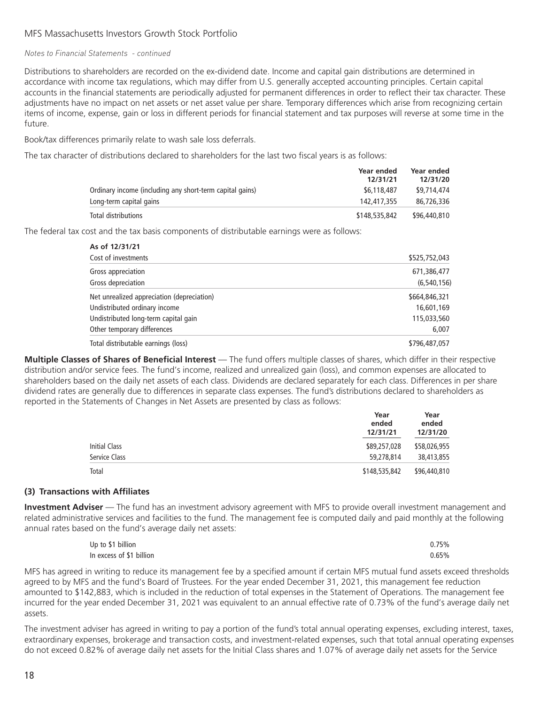#### MFS Massachusetts Investors Growth Stock Portfolio

#### *Notes to Financial Statements - continued*

Distributions to shareholders are recorded on the ex-dividend date. Income and capital gain distributions are determined in accordance with income tax regulations, which may differ from U.S. generally accepted accounting principles. Certain capital accounts in the financial statements are periodically adjusted for permanent differences in order to reflect their tax character. These adjustments have no impact on net assets or net asset value per share. Temporary differences which arise from recognizing certain items of income, expense, gain or loss in different periods for financial statement and tax purposes will reverse at some time in the future.

Book/tax differences primarily relate to wash sale loss deferrals.

The tax character of distributions declared to shareholders for the last two fiscal years is as follows:

|                                                          | Year ended<br>12/31/21 | <b>Year ended</b><br>12/31/20 |
|----------------------------------------------------------|------------------------|-------------------------------|
| Ordinary income (including any short-term capital gains) | \$6,118,487            | \$9,714,474                   |
| Long-term capital gains                                  | 142.417.355            | 86,726,336                    |
| Total distributions                                      | \$148,535,842          | \$96,440,810                  |

The federal tax cost and the tax basis components of distributable earnings were as follows:

| As of 12/31/21                             |               |
|--------------------------------------------|---------------|
| Cost of investments                        | \$525,752,043 |
| Gross appreciation                         | 671,386,477   |
| Gross depreciation                         | (6,540,156)   |
| Net unrealized appreciation (depreciation) | \$664,846,321 |
| Undistributed ordinary income              | 16,601,169    |
| Undistributed long-term capital gain       | 115,033,560   |
| Other temporary differences                | 6,007         |
| Total distributable earnings (loss)        | \$796,487,057 |

**Multiple Classes of Shares of Beneficial Interest** — The fund offers multiple classes of shares, which differ in their respective distribution and/or service fees. The fund's income, realized and unrealized gain (loss), and common expenses are allocated to shareholders based on the daily net assets of each class. Dividends are declared separately for each class. Differences in per share dividend rates are generally due to differences in separate class expenses. The fund's distributions declared to shareholders as reported in the Statements of Changes in Net Assets are presented by class as follows:

|               | Year<br>ended<br>12/31/21 | Year<br>ended<br>12/31/20 |  |
|---------------|---------------------------|---------------------------|--|
| Initial Class | \$89,257,028              | \$58,026,955              |  |
| Service Class | 59,278,814                | 38,413,855                |  |
| Total         | \$148,535,842             | \$96,440,810              |  |

#### **(3) Transactions with Affiliates**

**Investment Adviser** — The fund has an investment advisory agreement with MFS to provide overall investment management and related administrative services and facilities to the fund. The management fee is computed daily and paid monthly at the following annual rates based on the fund's average daily net assets:

| Up to \$1 billion        | 0.75% |
|--------------------------|-------|
| In excess of \$1 billion | 0.65% |

MFS has agreed in writing to reduce its management fee by a specified amount if certain MFS mutual fund assets exceed thresholds agreed to by MFS and the fund's Board of Trustees. For the year ended December 31, 2021, this management fee reduction amounted to \$142,883, which is included in the reduction of total expenses in the Statement of Operations. The management fee incurred for the year ended December 31, 2021 was equivalent to an annual effective rate of 0.73% of the fund's average daily net assets.

The investment adviser has agreed in writing to pay a portion of the fund's total annual operating expenses, excluding interest, taxes, extraordinary expenses, brokerage and transaction costs, and investment-related expenses, such that total annual operating expenses do not exceed 0.82% of average daily net assets for the Initial Class shares and 1.07% of average daily net assets for the Service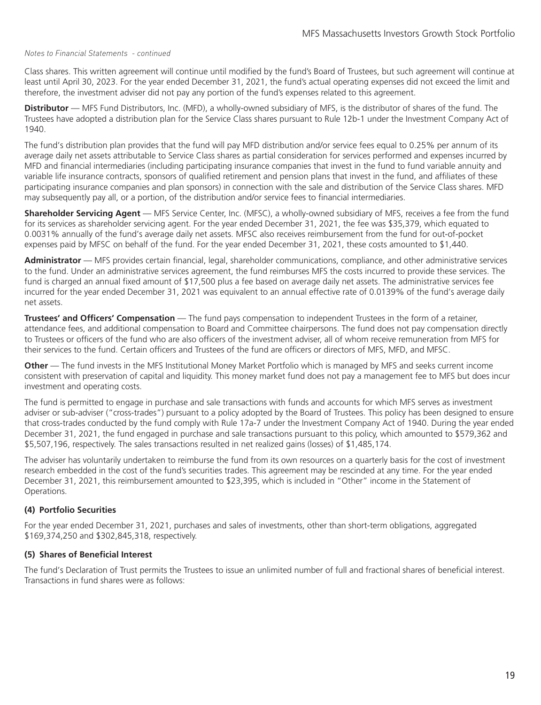#### *Notes to Financial Statements - continued*

Class shares. This written agreement will continue until modified by the fund's Board of Trustees, but such agreement will continue at least until April 30, 2023. For the year ended December 31, 2021, the fund's actual operating expenses did not exceed the limit and therefore, the investment adviser did not pay any portion of the fund's expenses related to this agreement.

**Distributor** — MFS Fund Distributors, Inc. (MFD), a wholly-owned subsidiary of MFS, is the distributor of shares of the fund. The Trustees have adopted a distribution plan for the Service Class shares pursuant to Rule 12b-1 under the Investment Company Act of 1940.

The fund's distribution plan provides that the fund will pay MFD distribution and/or service fees equal to 0.25% per annum of its average daily net assets attributable to Service Class shares as partial consideration for services performed and expenses incurred by MFD and financial intermediaries (including participating insurance companies that invest in the fund to fund variable annuity and variable life insurance contracts, sponsors of qualified retirement and pension plans that invest in the fund, and affiliates of these participating insurance companies and plan sponsors) in connection with the sale and distribution of the Service Class shares. MFD may subsequently pay all, or a portion, of the distribution and/or service fees to financial intermediaries.

**Shareholder Servicing Agent** — MFS Service Center, Inc. (MFSC), a wholly-owned subsidiary of MFS, receives a fee from the fund for its services as shareholder servicing agent. For the year ended December 31, 2021, the fee was \$35,379, which equated to 0.0031% annually of the fund's average daily net assets. MFSC also receives reimbursement from the fund for out-of-pocket expenses paid by MFSC on behalf of the fund. For the year ended December 31, 2021, these costs amounted to \$1,440.

**Administrator** — MFS provides certain financial, legal, shareholder communications, compliance, and other administrative services to the fund. Under an administrative services agreement, the fund reimburses MFS the costs incurred to provide these services. The fund is charged an annual fixed amount of \$17,500 plus a fee based on average daily net assets. The administrative services fee incurred for the year ended December 31, 2021 was equivalent to an annual effective rate of 0.0139% of the fund's average daily net assets.

**Trustees' and Officers' Compensation** — The fund pays compensation to independent Trustees in the form of a retainer, attendance fees, and additional compensation to Board and Committee chairpersons. The fund does not pay compensation directly to Trustees or officers of the fund who are also officers of the investment adviser, all of whom receive remuneration from MFS for their services to the fund. Certain officers and Trustees of the fund are officers or directors of MFS, MFD, and MFSC.

**Other** — The fund invests in the MFS Institutional Money Market Portfolio which is managed by MFS and seeks current income consistent with preservation of capital and liquidity. This money market fund does not pay a management fee to MFS but does incur investment and operating costs.

The fund is permitted to engage in purchase and sale transactions with funds and accounts for which MFS serves as investment adviser or sub-adviser ("cross-trades") pursuant to a policy adopted by the Board of Trustees. This policy has been designed to ensure that cross-trades conducted by the fund comply with Rule 17a-7 under the Investment Company Act of 1940. During the year ended December 31, 2021, the fund engaged in purchase and sale transactions pursuant to this policy, which amounted to \$579,362 and \$5,507,196, respectively. The sales transactions resulted in net realized gains (losses) of \$1,485,174.

The adviser has voluntarily undertaken to reimburse the fund from its own resources on a quarterly basis for the cost of investment research embedded in the cost of the fund's securities trades. This agreement may be rescinded at any time. For the year ended December 31, 2021, this reimbursement amounted to \$23,395, which is included in "Other" income in the Statement of Operations.

#### **(4) Portfolio Securities**

For the year ended December 31, 2021, purchases and sales of investments, other than short-term obligations, aggregated \$169,374,250 and \$302,845,318, respectively.

#### **(5) Shares of Beneficial Interest**

The fund's Declaration of Trust permits the Trustees to issue an unlimited number of full and fractional shares of beneficial interest. Transactions in fund shares were as follows: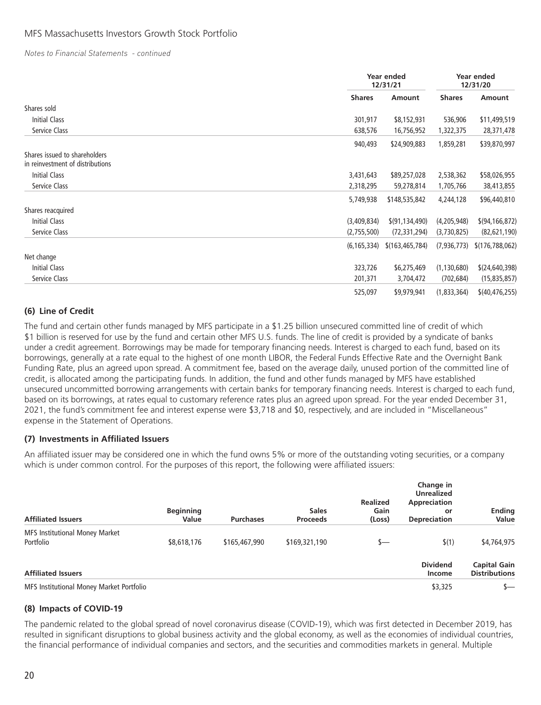#### MFS Massachusetts Investors Growth Stock Portfolio

*Notes to Financial Statements - continued*

|                                                                   |               | Year ended<br>12/31/21 |               | Year ended<br>12/31/20 |
|-------------------------------------------------------------------|---------------|------------------------|---------------|------------------------|
|                                                                   | <b>Shares</b> | Amount                 | <b>Shares</b> | Amount                 |
| Shares sold                                                       |               |                        |               |                        |
| Initial Class                                                     | 301,917       | \$8,152,931            | 536,906       | \$11,499,519           |
| Service Class                                                     | 638,576       | 16,756,952             | 1,322,375     | 28,371,478             |
|                                                                   | 940,493       | \$24,909,883           | 1,859,281     | \$39,870,997           |
| Shares issued to shareholders<br>in reinvestment of distributions |               |                        |               |                        |
| <b>Initial Class</b>                                              | 3,431,643     | \$89,257,028           | 2,538,362     | \$58,026,955           |
| Service Class                                                     | 2,318,295     | 59,278,814             | 1,705,766     | 38,413,855             |
|                                                                   | 5,749,938     | \$148,535,842          | 4,244,128     | \$96,440,810           |
| Shares reacquired                                                 |               |                        |               |                        |
| <b>Initial Class</b>                                              | (3,409,834)   | \$ (91, 134, 490)      | (4,205,948)   | \$(94, 166, 872)       |
| Service Class                                                     | (2,755,500)   | (72, 331, 294)         | (3,730,825)   | (82, 621, 190)         |
|                                                                   | (6, 165, 334) | \$(163, 465, 784)      | (7,936,773)   | \$(176, 788, 062)      |
| Net change                                                        |               |                        |               |                        |
| Initial Class                                                     | 323,726       | \$6,275,469            | (1, 130, 680) | \$(24, 640, 398)       |
| Service Class                                                     | 201,371       | 3,704,472              | (702, 684)    | (15, 835, 857)         |
|                                                                   | 525,097       | \$9,979,941            | (1,833,364)   | \$(40, 476, 255)       |

#### **(6) Line of Credit**

The fund and certain other funds managed by MFS participate in a \$1.25 billion unsecured committed line of credit of which \$1 billion is reserved for use by the fund and certain other MFS U.S. funds. The line of credit is provided by a syndicate of banks under a credit agreement. Borrowings may be made for temporary financing needs. Interest is charged to each fund, based on its borrowings, generally at a rate equal to the highest of one month LIBOR, the Federal Funds Effective Rate and the Overnight Bank Funding Rate, plus an agreed upon spread. A commitment fee, based on the average daily, unused portion of the committed line of credit, is allocated among the participating funds. In addition, the fund and other funds managed by MFS have established unsecured uncommitted borrowing arrangements with certain banks for temporary financing needs. Interest is charged to each fund, based on its borrowings, at rates equal to customary reference rates plus an agreed upon spread. For the year ended December 31, 2021, the fund's commitment fee and interest expense were \$3,718 and \$0, respectively, and are included in "Miscellaneous" expense in the Statement of Operations.

#### **(7) Investments in Affiliated Issuers**

An affiliated issuer may be considered one in which the fund owns 5% or more of the outstanding voting securities, or a company which is under common control. For the purposes of this report, the following were affiliated issuers:

| <b>Affiliated Issuers</b>                          | <b>Beginning</b><br>Value | <b>Purchases</b> | <b>Sales</b><br><b>Proceeds</b> | <b>Realized</b><br>Gain<br>(Loss) | Change in<br><b>Unrealized</b><br>Appreciation<br>or<br><b>Depreciation</b> | <b>Ending</b><br>Value                      |
|----------------------------------------------------|---------------------------|------------------|---------------------------------|-----------------------------------|-----------------------------------------------------------------------------|---------------------------------------------|
| <b>MFS Institutional Money Market</b><br>Portfolio | \$8,618,176               | \$165,467,990    | \$169,321,190                   | s—                                | \$(1)                                                                       | \$4,764,975                                 |
| <b>Affiliated Issuers</b>                          |                           |                  |                                 |                                   | <b>Dividend</b><br>Income                                                   | <b>Capital Gain</b><br><b>Distributions</b> |
| MFS Institutional Money Market Portfolio           |                           |                  |                                 |                                   | \$3,325                                                                     | $S-$                                        |

#### **(8) Impacts of COVID-19**

The pandemic related to the global spread of novel coronavirus disease (COVID-19), which was first detected in December 2019, has resulted in significant disruptions to global business activity and the global economy, as well as the economies of individual countries, the financial performance of individual companies and sectors, and the securities and commodities markets in general. Multiple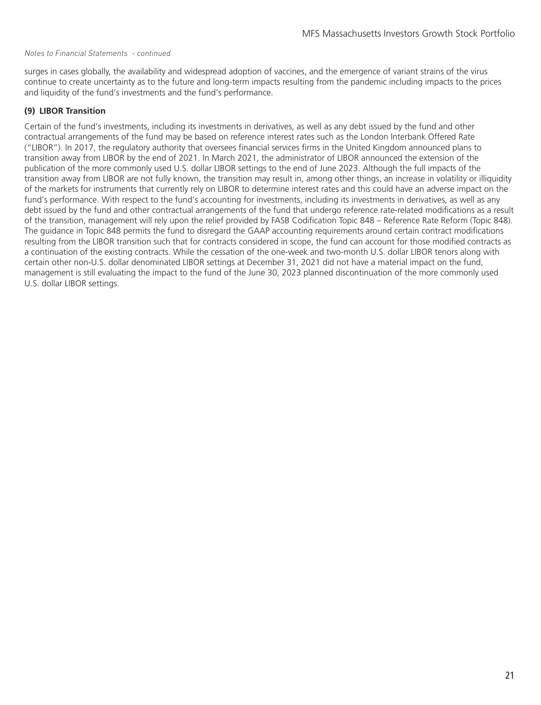#### *Notes to Financial Statements - continued*

surges in cases globally, the availability and widespread adoption of vaccines, and the emergence of variant strains of the virus continue to create uncertainty as to the future and long-term impacts resulting from the pandemic including impacts to the prices and liquidity of the fund's investments and the fund's performance.

#### **(9) LIBOR Transition**

Certain of the fund's investments, including its investments in derivatives, as well as any debt issued by the fund and other contractual arrangements of the fund may be based on reference interest rates such as the London Interbank Offered Rate ("LIBOR"). In 2017, the regulatory authority that oversees financial services firms in the United Kingdom announced plans to transition away from LIBOR by the end of 2021. In March 2021, the administrator of LIBOR announced the extension of the publication of the more commonly used U.S. dollar LIBOR settings to the end of June 2023. Although the full impacts of the transition away from LIBOR are not fully known, the transition may result in, among other things, an increase in volatility or illiquidity of the markets for instruments that currently rely on LIBOR to determine interest rates and this could have an adverse impact on the fund's performance. With respect to the fund's accounting for investments, including its investments in derivatives, as well as any debt issued by the fund and other contractual arrangements of the fund that undergo reference rate-related modifications as a result of the transition, management will rely upon the relief provided by FASB Codification Topic 848 – Reference Rate Reform (Topic 848). The guidance in Topic 848 permits the fund to disregard the GAAP accounting requirements around certain contract modifications resulting from the LIBOR transition such that for contracts considered in scope, the fund can account for those modified contracts as a continuation of the existing contracts. While the cessation of the one-week and two-month U.S. dollar LIBOR tenors along with certain other non-U.S. dollar denominated LIBOR settings at December 31, 2021 did not have a material impact on the fund, management is still evaluating the impact to the fund of the June 30, 2023 planned discontinuation of the more commonly used U.S. dollar LIBOR settings.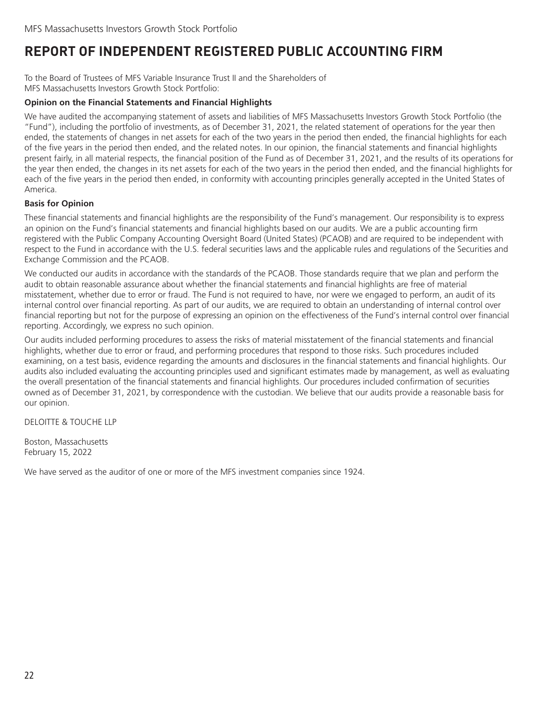### <span id="page-23-0"></span>**REPORT OF INDEPENDENT REGISTERED PUBLIC ACCOUNTING FIRM**

To the Board of Trustees of MFS Variable Insurance Trust II and the Shareholders of MFS Massachusetts Investors Growth Stock Portfolio:

#### **Opinion on the Financial Statements and Financial Highlights**

We have audited the accompanying statement of assets and liabilities of MFS Massachusetts Investors Growth Stock Portfolio (the "Fund"), including the portfolio of investments, as of December 31, 2021, the related statement of operations for the year then ended, the statements of changes in net assets for each of the two years in the period then ended, the financial highlights for each of the five years in the period then ended, and the related notes. In our opinion, the financial statements and financial highlights present fairly, in all material respects, the financial position of the Fund as of December 31, 2021, and the results of its operations for the year then ended, the changes in its net assets for each of the two years in the period then ended, and the financial highlights for each of the five years in the period then ended, in conformity with accounting principles generally accepted in the United States of America.

#### **Basis for Opinion**

These financial statements and financial highlights are the responsibility of the Fund's management. Our responsibility is to express an opinion on the Fund's financial statements and financial highlights based on our audits. We are a public accounting firm registered with the Public Company Accounting Oversight Board (United States) (PCAOB) and are required to be independent with respect to the Fund in accordance with the U.S. federal securities laws and the applicable rules and regulations of the Securities and Exchange Commission and the PCAOB.

We conducted our audits in accordance with the standards of the PCAOB. Those standards require that we plan and perform the audit to obtain reasonable assurance about whether the financial statements and financial highlights are free of material misstatement, whether due to error or fraud. The Fund is not required to have, nor were we engaged to perform, an audit of its internal control over financial reporting. As part of our audits, we are required to obtain an understanding of internal control over financial reporting but not for the purpose of expressing an opinion on the effectiveness of the Fund's internal control over financial reporting. Accordingly, we express no such opinion.

Our audits included performing procedures to assess the risks of material misstatement of the financial statements and financial highlights, whether due to error or fraud, and performing procedures that respond to those risks. Such procedures included examining, on a test basis, evidence regarding the amounts and disclosures in the financial statements and financial highlights. Our audits also included evaluating the accounting principles used and significant estimates made by management, as well as evaluating the overall presentation of the financial statements and financial highlights. Our procedures included confirmation of securities owned as of December 31, 2021, by correspondence with the custodian. We believe that our audits provide a reasonable basis for our opinion.

DELOITTE & TOUCHE LLP

Boston, Massachusetts February 15, 2022

We have served as the auditor of one or more of the MFS investment companies since 1924.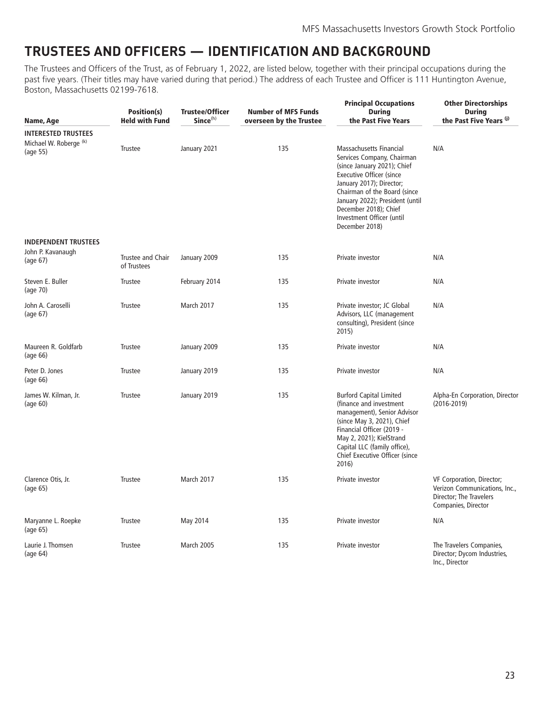### <span id="page-24-0"></span>**TRUSTEES AND OFFICERS — IDENTIFICATION AND BACKGROUND**

The Trustees and Officers of the Trust, as of February 1, 2022, are listed below, together with their principal occupations during the past five years. (Their titles may have varied during that period.) The address of each Trustee and Officer is 111 Huntington Avenue, Boston, Massachusetts 02199-7618.

| Name, Age                                                                   | Position(s)<br><b>Held with Fund</b> | <b>Trustee/Officer</b><br>Since <sup>(h)</sup> | <b>Number of MFS Funds</b><br>overseen by the Trustee | <b>Principal Occupations</b><br><b>During</b><br>the Past Five Years                                                                                                                                                                                                                    | <b>Other Directorships</b><br><b>During</b><br>the Past Five Years (i)                                       |
|-----------------------------------------------------------------------------|--------------------------------------|------------------------------------------------|-------------------------------------------------------|-----------------------------------------------------------------------------------------------------------------------------------------------------------------------------------------------------------------------------------------------------------------------------------------|--------------------------------------------------------------------------------------------------------------|
| <b>INTERESTED TRUSTEES</b><br>Michael W. Roberge <sup>(k)</sup><br>(age 55) | Trustee                              | January 2021                                   | 135                                                   | Massachusetts Financial<br>Services Company, Chairman<br>(since January 2021); Chief<br>Executive Officer (since<br>January 2017); Director;<br>Chairman of the Board (since<br>January 2022); President (until<br>December 2018); Chief<br>Investment Officer (until<br>December 2018) | N/A                                                                                                          |
| <b>INDEPENDENT TRUSTEES</b><br>John P. Kavanaugh<br>(age 67)                | Trustee and Chair<br>of Trustees     | January 2009                                   | 135                                                   | Private investor                                                                                                                                                                                                                                                                        | N/A                                                                                                          |
| Steven E. Buller<br>(age 70)                                                | <b>Trustee</b>                       | February 2014                                  | 135                                                   | Private investor                                                                                                                                                                                                                                                                        | N/A                                                                                                          |
| John A. Caroselli<br>(age 67)                                               | Trustee                              | March 2017                                     | 135                                                   | Private investor; JC Global<br>Advisors, LLC (management<br>consulting), President (since<br>2015)                                                                                                                                                                                      | N/A                                                                                                          |
| Maureen R. Goldfarb<br>(age 66)                                             | Trustee                              | January 2009                                   | 135                                                   | Private investor                                                                                                                                                                                                                                                                        | N/A                                                                                                          |
| Peter D. Jones<br>(age 66)                                                  | Trustee                              | January 2019                                   | 135                                                   | Private investor                                                                                                                                                                                                                                                                        | N/A                                                                                                          |
| James W. Kilman, Jr.<br>(aq <sub>e</sub> 60)                                | <b>Trustee</b>                       | January 2019                                   | 135                                                   | <b>Burford Capital Limited</b><br>(finance and investment<br>management), Senior Advisor<br>(since May 3, 2021), Chief<br>Financial Officer (2019 -<br>May 2, 2021); KielStrand<br>Capital LLC (family office),<br>Chief Executive Officer (since<br>2016)                              | Alpha-En Corporation, Director<br>$(2016 - 2019)$                                                            |
| Clarence Otis, Jr.<br>(age 65)                                              | Trustee                              | March 2017                                     | 135                                                   | Private investor                                                                                                                                                                                                                                                                        | VF Corporation, Director;<br>Verizon Communications, Inc.,<br>Director; The Travelers<br>Companies, Director |
| Maryanne L. Roepke<br>(age 65)                                              | <b>Trustee</b>                       | May 2014                                       | 135                                                   | Private investor                                                                                                                                                                                                                                                                        | N/A                                                                                                          |
| Laurie J. Thomsen<br>(aq <sub>e</sub> 64)                                   | Trustee                              | March 2005                                     | 135                                                   | Private investor                                                                                                                                                                                                                                                                        | The Travelers Companies,<br>Director; Dycom Industries,<br>Inc., Director                                    |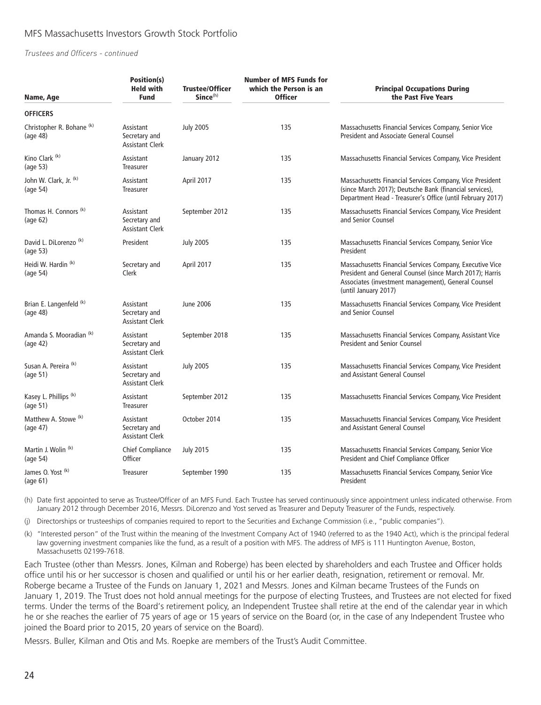#### MFS Massachusetts Investors Growth Stock Portfolio

*Trustees and Officers - continued*

| Name, Age                                        | Position(s)<br><b>Held with</b><br><b>Fund</b>       | <b>Trustee/Officer</b><br>Since <sup>(h)</sup> | <b>Number of MFS Funds for</b><br>which the Person is an<br><b>Officer</b> | <b>Principal Occupations During</b><br>the Past Five Years                                                                                                                                          |
|--------------------------------------------------|------------------------------------------------------|------------------------------------------------|----------------------------------------------------------------------------|-----------------------------------------------------------------------------------------------------------------------------------------------------------------------------------------------------|
| <b>OFFICERS</b>                                  |                                                      |                                                |                                                                            |                                                                                                                                                                                                     |
| Christopher R. Bohane <sup>(k)</sup><br>(age 48) | Assistant<br>Secretary and<br><b>Assistant Clerk</b> | <b>July 2005</b>                               | 135                                                                        | Massachusetts Financial Services Company, Senior Vice<br>President and Associate General Counsel                                                                                                    |
| Kino Clark <sup>(k)</sup><br>(age 53)            | Assistant<br>Treasurer                               | January 2012                                   | 135                                                                        | Massachusetts Financial Services Company, Vice President                                                                                                                                            |
| John W. Clark, Jr. (k)<br>(aq <sub>e</sub> 54)   | Assistant<br>Treasurer                               | April 2017                                     | 135                                                                        | Massachusetts Financial Services Company, Vice President<br>(since March 2017); Deutsche Bank (financial services),<br>Department Head - Treasurer's Office (until February 2017)                   |
| Thomas H. Connors <sup>(k)</sup><br>(age 62)     | Assistant<br>Secretary and<br><b>Assistant Clerk</b> | September 2012                                 | 135                                                                        | Massachusetts Financial Services Company, Vice President<br>and Senior Counsel                                                                                                                      |
| David L. DiLorenzo <sup>(k)</sup><br>(age 53)    | President                                            | <b>July 2005</b>                               | 135                                                                        | Massachusetts Financial Services Company, Senior Vice<br>President                                                                                                                                  |
| Heidi W. Hardin (k)<br>(age 54)                  | Secretary and<br>Clerk                               | April 2017                                     | 135                                                                        | Massachusetts Financial Services Company, Executive Vice<br>President and General Counsel (since March 2017); Harris<br>Associates (investment management), General Counsel<br>(until January 2017) |
| Brian E. Langenfeld <sup>(k)</sup><br>(age 48)   | Assistant<br>Secretary and<br><b>Assistant Clerk</b> | June 2006                                      | 135                                                                        | Massachusetts Financial Services Company, Vice President<br>and Senior Counsel                                                                                                                      |
| Amanda S. Mooradian (k)<br>(age 42)              | Assistant<br>Secretary and<br><b>Assistant Clerk</b> | September 2018                                 | 135                                                                        | Massachusetts Financial Services Company, Assistant Vice<br><b>President and Senior Counsel</b>                                                                                                     |
| Susan A. Pereira <sup>(k)</sup><br>(age 51)      | Assistant<br>Secretary and<br><b>Assistant Clerk</b> | <b>July 2005</b>                               | 135                                                                        | Massachusetts Financial Services Company, Vice President<br>and Assistant General Counsel                                                                                                           |
| Kasey L. Phillips <sup>(k)</sup><br>(age 51)     | Assistant<br>Treasurer                               | September 2012                                 | 135                                                                        | Massachusetts Financial Services Company, Vice President                                                                                                                                            |
| Matthew A. Stowe <sup>(k)</sup><br>(age 47)      | Assistant<br>Secretary and<br><b>Assistant Clerk</b> | October 2014                                   | 135                                                                        | Massachusetts Financial Services Company, Vice President<br>and Assistant General Counsel                                                                                                           |
| Martin J. Wolin <sup>(k)</sup><br>(age 54)       | Chief Compliance<br>Officer                          | <b>July 2015</b>                               | 135                                                                        | Massachusetts Financial Services Company, Senior Vice<br>President and Chief Compliance Officer                                                                                                     |
| James O. Yost <sup>(k)</sup><br>(age 61)         | <b>Treasurer</b>                                     | September 1990                                 | 135                                                                        | Massachusetts Financial Services Company, Senior Vice<br>President                                                                                                                                  |

(h) Date first appointed to serve as Trustee/Officer of an MFS Fund. Each Trustee has served continuously since appointment unless indicated otherwise. From January 2012 through December 2016, Messrs. DiLorenzo and Yost served as Treasurer and Deputy Treasurer of the Funds, respectively.

(j) Directorships or trusteeships of companies required to report to the Securities and Exchange Commission (i.e., "public companies").

(k) "Interested person" of the Trust within the meaning of the Investment Company Act of 1940 (referred to as the 1940 Act), which is the principal federal law governing investment companies like the fund, as a result of a position with MFS. The address of MFS is 111 Huntington Avenue, Boston, Massachusetts 02199-7618.

Each Trustee (other than Messrs. Jones, Kilman and Roberge) has been elected by shareholders and each Trustee and Officer holds office until his or her successor is chosen and qualified or until his or her earlier death, resignation, retirement or removal. Mr. Roberge became a Trustee of the Funds on January 1, 2021 and Messrs. Jones and Kilman became Trustees of the Funds on January 1, 2019. The Trust does not hold annual meetings for the purpose of electing Trustees, and Trustees are not elected for fixed terms. Under the terms of the Board's retirement policy, an Independent Trustee shall retire at the end of the calendar year in which he or she reaches the earlier of 75 years of age or 15 years of service on the Board (or, in the case of any Independent Trustee who joined the Board prior to 2015, 20 years of service on the Board).

Messrs. Buller, Kilman and Otis and Ms. Roepke are members of the Trust's Audit Committee.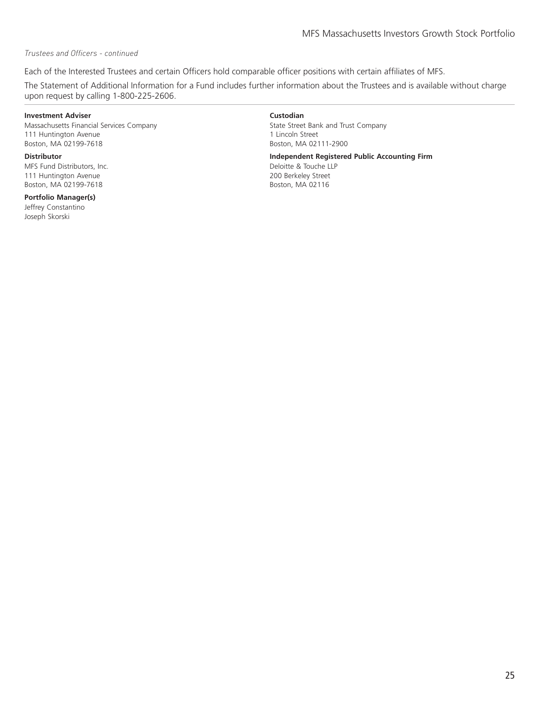#### *Trustees and Officers - continued*

Each of the Interested Trustees and certain Officers hold comparable officer positions with certain affiliates of MFS.

The Statement of Additional Information for a Fund includes further information about the Trustees and is available without charge upon request by calling 1-800-225-2606.

#### **Investment Adviser Custodian**

Massachusetts Financial Services Company 111 Huntington Avenue Boston, MA 02199-7618

MFS Fund Distributors, Inc. 111 Huntington Avenue Boston, MA 02199-7618

#### **Portfolio Manager(s)**

Jeffrey Constantino Joseph Skorski

State Street Bank and Trust Company 1 Lincoln Street Boston, MA 02111-2900

**Distributor Independent Registered Public Accounting Firm** Deloitte & Touche LLP

200 Berkeley Street Boston, MA 02116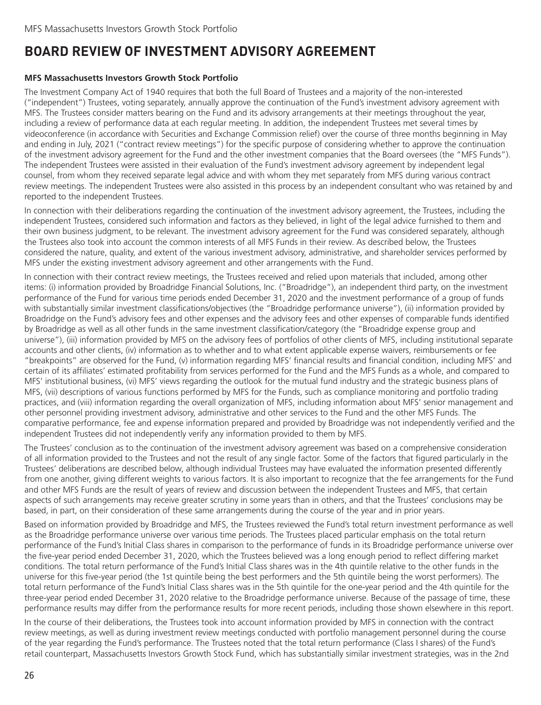### <span id="page-27-0"></span>**BOARD REVIEW OF INVESTMENT ADVISORY AGREEMENT**

#### **MFS Massachusetts Investors Growth Stock Portfolio**

The Investment Company Act of 1940 requires that both the full Board of Trustees and a majority of the non-interested ("independent") Trustees, voting separately, annually approve the continuation of the Fund's investment advisory agreement with MFS. The Trustees consider matters bearing on the Fund and its advisory arrangements at their meetings throughout the year, including a review of performance data at each regular meeting. In addition, the independent Trustees met several times by videoconference (in accordance with Securities and Exchange Commission relief) over the course of three months beginning in May and ending in July, 2021 ("contract review meetings") for the specific purpose of considering whether to approve the continuation of the investment advisory agreement for the Fund and the other investment companies that the Board oversees (the "MFS Funds"). The independent Trustees were assisted in their evaluation of the Fund's investment advisory agreement by independent legal counsel, from whom they received separate legal advice and with whom they met separately from MFS during various contract review meetings. The independent Trustees were also assisted in this process by an independent consultant who was retained by and reported to the independent Trustees.

In connection with their deliberations regarding the continuation of the investment advisory agreement, the Trustees, including the independent Trustees, considered such information and factors as they believed, in light of the legal advice furnished to them and their own business judgment, to be relevant. The investment advisory agreement for the Fund was considered separately, although the Trustees also took into account the common interests of all MFS Funds in their review. As described below, the Trustees considered the nature, quality, and extent of the various investment advisory, administrative, and shareholder services performed by MFS under the existing investment advisory agreement and other arrangements with the Fund.

In connection with their contract review meetings, the Trustees received and relied upon materials that included, among other items: (i) information provided by Broadridge Financial Solutions, Inc. ("Broadridge"), an independent third party, on the investment performance of the Fund for various time periods ended December 31, 2020 and the investment performance of a group of funds with substantially similar investment classifications/objectives (the "Broadridge performance universe"), (ii) information provided by Broadridge on the Fund's advisory fees and other expenses and the advisory fees and other expenses of comparable funds identified by Broadridge as well as all other funds in the same investment classification/category (the "Broadridge expense group and universe"), (iii) information provided by MFS on the advisory fees of portfolios of other clients of MFS, including institutional separate accounts and other clients, (iv) information as to whether and to what extent applicable expense waivers, reimbursements or fee "breakpoints" are observed for the Fund, (v) information regarding MFS' financial results and financial condition, including MFS' and certain of its affiliates' estimated profitability from services performed for the Fund and the MFS Funds as a whole, and compared to MFS' institutional business, (vi) MFS' views regarding the outlook for the mutual fund industry and the strategic business plans of MFS, (vii) descriptions of various functions performed by MFS for the Funds, such as compliance monitoring and portfolio trading practices, and (viii) information regarding the overall organization of MFS, including information about MFS' senior management and other personnel providing investment advisory, administrative and other services to the Fund and the other MFS Funds. The comparative performance, fee and expense information prepared and provided by Broadridge was not independently verified and the independent Trustees did not independently verify any information provided to them by MFS.

The Trustees' conclusion as to the continuation of the investment advisory agreement was based on a comprehensive consideration of all information provided to the Trustees and not the result of any single factor. Some of the factors that figured particularly in the Trustees' deliberations are described below, although individual Trustees may have evaluated the information presented differently from one another, giving different weights to various factors. It is also important to recognize that the fee arrangements for the Fund and other MFS Funds are the result of years of review and discussion between the independent Trustees and MFS, that certain aspects of such arrangements may receive greater scrutiny in some years than in others, and that the Trustees' conclusions may be based, in part, on their consideration of these same arrangements during the course of the year and in prior years.

Based on information provided by Broadridge and MFS, the Trustees reviewed the Fund's total return investment performance as well as the Broadridge performance universe over various time periods. The Trustees placed particular emphasis on the total return performance of the Fund's Initial Class shares in comparison to the performance of funds in its Broadridge performance universe over the five-year period ended December 31, 2020, which the Trustees believed was a long enough period to reflect differing market conditions. The total return performance of the Fund's Initial Class shares was in the 4th quintile relative to the other funds in the universe for this five-year period (the 1st quintile being the best performers and the 5th quintile being the worst performers). The total return performance of the Fund's Initial Class shares was in the 5th quintile for the one-year period and the 4th quintile for the three-year period ended December 31, 2020 relative to the Broadridge performance universe. Because of the passage of time, these performance results may differ from the performance results for more recent periods, including those shown elsewhere in this report.

In the course of their deliberations, the Trustees took into account information provided by MFS in connection with the contract review meetings, as well as during investment review meetings conducted with portfolio management personnel during the course of the year regarding the Fund's performance. The Trustees noted that the total return performance (Class I shares) of the Fund's retail counterpart, Massachusetts Investors Growth Stock Fund, which has substantially similar investment strategies, was in the 2nd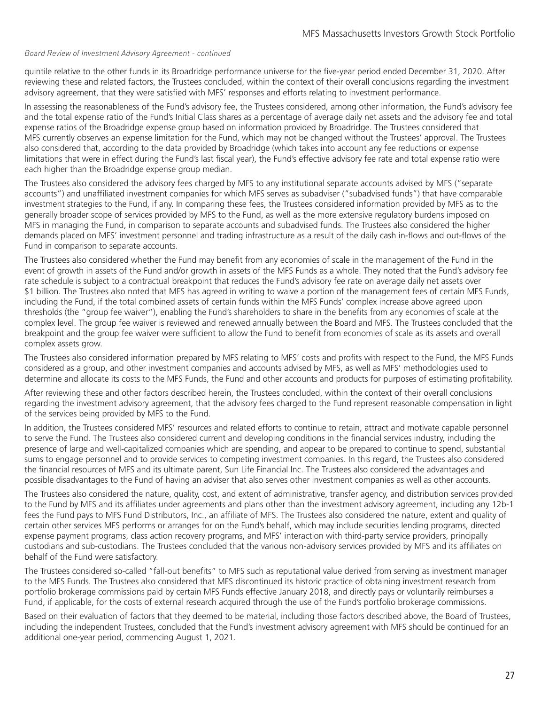#### *Board Review of Investment Advisory Agreement - continued*

quintile relative to the other funds in its Broadridge performance universe for the five-year period ended December 31, 2020. After reviewing these and related factors, the Trustees concluded, within the context of their overall conclusions regarding the investment advisory agreement, that they were satisfied with MFS' responses and efforts relating to investment performance.

In assessing the reasonableness of the Fund's advisory fee, the Trustees considered, among other information, the Fund's advisory fee and the total expense ratio of the Fund's Initial Class shares as a percentage of average daily net assets and the advisory fee and total expense ratios of the Broadridge expense group based on information provided by Broadridge. The Trustees considered that MFS currently observes an expense limitation for the Fund, which may not be changed without the Trustees' approval. The Trustees also considered that, according to the data provided by Broadridge (which takes into account any fee reductions or expense limitations that were in effect during the Fund's last fiscal year), the Fund's effective advisory fee rate and total expense ratio were each higher than the Broadridge expense group median.

The Trustees also considered the advisory fees charged by MFS to any institutional separate accounts advised by MFS ("separate accounts") and unaffiliated investment companies for which MFS serves as subadviser ("subadvised funds") that have comparable investment strategies to the Fund, if any. In comparing these fees, the Trustees considered information provided by MFS as to the generally broader scope of services provided by MFS to the Fund, as well as the more extensive regulatory burdens imposed on MFS in managing the Fund, in comparison to separate accounts and subadvised funds. The Trustees also considered the higher demands placed on MFS' investment personnel and trading infrastructure as a result of the daily cash in-flows and out-flows of the Fund in comparison to separate accounts.

The Trustees also considered whether the Fund may benefit from any economies of scale in the management of the Fund in the event of growth in assets of the Fund and/or growth in assets of the MFS Funds as a whole. They noted that the Fund's advisory fee rate schedule is subject to a contractual breakpoint that reduces the Fund's advisory fee rate on average daily net assets over \$1 billion. The Trustees also noted that MFS has agreed in writing to waive a portion of the management fees of certain MFS Funds, including the Fund, if the total combined assets of certain funds within the MFS Funds' complex increase above agreed upon thresholds (the "group fee waiver"), enabling the Fund's shareholders to share in the benefits from any economies of scale at the complex level. The group fee waiver is reviewed and renewed annually between the Board and MFS. The Trustees concluded that the breakpoint and the group fee waiver were sufficient to allow the Fund to benefit from economies of scale as its assets and overall complex assets grow.

The Trustees also considered information prepared by MFS relating to MFS' costs and profits with respect to the Fund, the MFS Funds considered as a group, and other investment companies and accounts advised by MFS, as well as MFS' methodologies used to determine and allocate its costs to the MFS Funds, the Fund and other accounts and products for purposes of estimating profitability.

After reviewing these and other factors described herein, the Trustees concluded, within the context of their overall conclusions regarding the investment advisory agreement, that the advisory fees charged to the Fund represent reasonable compensation in light of the services being provided by MFS to the Fund.

In addition, the Trustees considered MFS' resources and related efforts to continue to retain, attract and motivate capable personnel to serve the Fund. The Trustees also considered current and developing conditions in the financial services industry, including the presence of large and well-capitalized companies which are spending, and appear to be prepared to continue to spend, substantial sums to engage personnel and to provide services to competing investment companies. In this regard, the Trustees also considered the financial resources of MFS and its ultimate parent, Sun Life Financial Inc. The Trustees also considered the advantages and possible disadvantages to the Fund of having an adviser that also serves other investment companies as well as other accounts.

The Trustees also considered the nature, quality, cost, and extent of administrative, transfer agency, and distribution services provided to the Fund by MFS and its affiliates under agreements and plans other than the investment advisory agreement, including any 12b-1 fees the Fund pays to MFS Fund Distributors, Inc., an affiliate of MFS. The Trustees also considered the nature, extent and quality of certain other services MFS performs or arranges for on the Fund's behalf, which may include securities lending programs, directed expense payment programs, class action recovery programs, and MFS' interaction with third-party service providers, principally custodians and sub-custodians. The Trustees concluded that the various non-advisory services provided by MFS and its affiliates on behalf of the Fund were satisfactory.

The Trustees considered so-called "fall-out benefits" to MFS such as reputational value derived from serving as investment manager to the MFS Funds. The Trustees also considered that MFS discontinued its historic practice of obtaining investment research from portfolio brokerage commissions paid by certain MFS Funds effective January 2018, and directly pays or voluntarily reimburses a Fund, if applicable, for the costs of external research acquired through the use of the Fund's portfolio brokerage commissions.

Based on their evaluation of factors that they deemed to be material, including those factors described above, the Board of Trustees, including the independent Trustees, concluded that the Fund's investment advisory agreement with MFS should be continued for an additional one-year period, commencing August 1, 2021.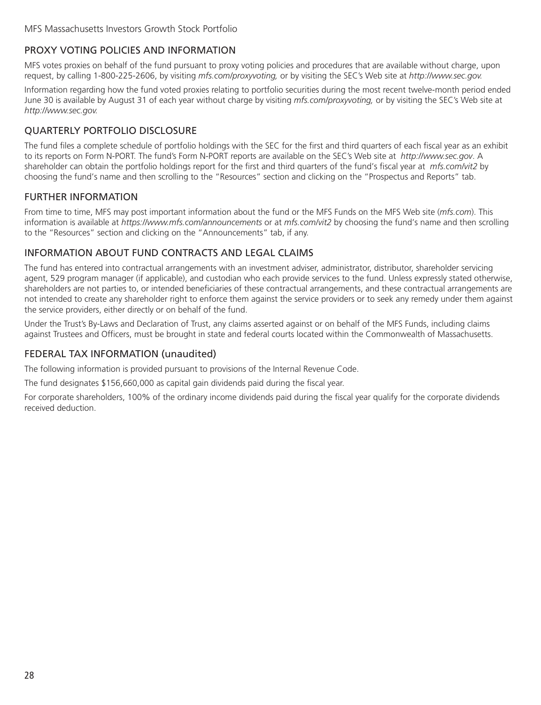### <span id="page-29-0"></span>PROXY VOTING POLICIES AND INFORMATION

MFS votes proxies on behalf of the fund pursuant to proxy voting policies and procedures that are available without charge, upon request, by calling 1-800-225-2606, by visiting *mfs.com/proxyvoting,* or by visiting the SEC's Web site at *http://www.sec.gov.*

Information regarding how the fund voted proxies relating to portfolio securities during the most recent twelve-month period ended June 30 is available by August 31 of each year without charge by visiting *mfs.com/proxyvoting,* or by visiting the SEC's Web site at *http://www.sec.gov.*

### QUARTERLY PORTFOLIO DISCLOSURE

The fund files a complete schedule of portfolio holdings with the SEC for the first and third quarters of each fiscal year as an exhibit to its reports on Form N-PORT. The fund's Form N-PORT reports are available on the SEC's Web site at *http://www.sec.gov*. A shareholder can obtain the portfolio holdings report for the first and third quarters of the fund's fiscal year at *mfs.com/vit2* by choosing the fund's name and then scrolling to the "Resources" section and clicking on the "Prospectus and Reports" tab.

#### FURTHER INFORMATION

From time to time, MFS may post important information about the fund or the MFS Funds on the MFS Web site (*mfs.com*). This information is available at *https://www.mfs.com/announcements* or at *mfs.com/vit2* by choosing the fund's name and then scrolling to the "Resources" section and clicking on the "Announcements" tab, if any.

#### INFORMATION ABOUT FUND CONTRACTS AND LEGAL CLAIMS

The fund has entered into contractual arrangements with an investment adviser, administrator, distributor, shareholder servicing agent, 529 program manager (if applicable), and custodian who each provide services to the fund. Unless expressly stated otherwise, shareholders are not parties to, or intended beneficiaries of these contractual arrangements, and these contractual arrangements are not intended to create any shareholder right to enforce them against the service providers or to seek any remedy under them against the service providers, either directly or on behalf of the fund.

Under the Trust's By-Laws and Declaration of Trust, any claims asserted against or on behalf of the MFS Funds, including claims against Trustees and Officers, must be brought in state and federal courts located within the Commonwealth of Massachusetts.

#### FEDERAL TAX INFORMATION (unaudited)

The following information is provided pursuant to provisions of the Internal Revenue Code.

The fund designates \$156,660,000 as capital gain dividends paid during the fiscal year.

For corporate shareholders, 100% of the ordinary income dividends paid during the fiscal year qualify for the corporate dividends received deduction.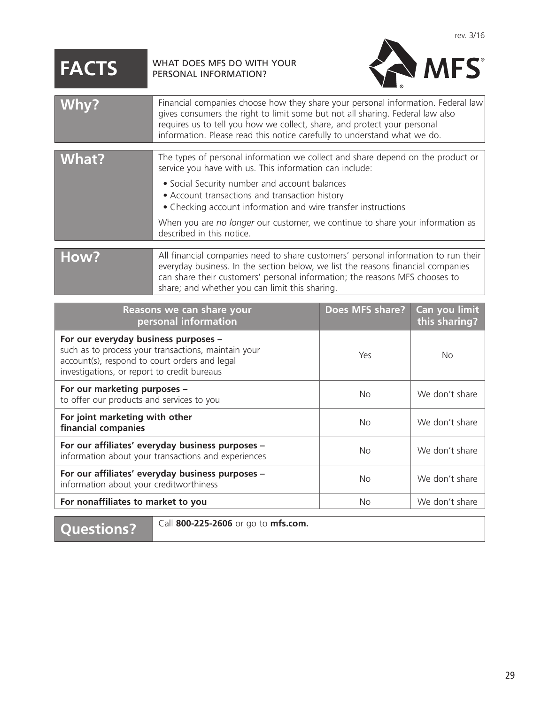# <span id="page-30-0"></span>**FACTS** WHAT DOES MFS DO WITH YOUR



| Why?  | Financial companies choose how they share your personal information. Federal law<br>gives consumers the right to limit some but not all sharing. Federal law also<br>requires us to tell you how we collect, share, and protect your personal<br>information. Please read this notice carefully to understand what we do.                                                                                                    |
|-------|------------------------------------------------------------------------------------------------------------------------------------------------------------------------------------------------------------------------------------------------------------------------------------------------------------------------------------------------------------------------------------------------------------------------------|
| What? | The types of personal information we collect and share depend on the product or<br>service you have with us. This information can include:<br>• Social Security number and account balances<br>• Account transactions and transaction history<br>• Checking account information and wire transfer instructions<br>When you are no longer our customer, we continue to share your information as<br>described in this notice. |
| How?  | All financial companies need to share customers' personal information to run their<br>everyday business. In the section below, we list the reasons financial companies<br>can share their customers' personal information; the reasons MFS chooses to<br>share; and whether you can limit this sharing.                                                                                                                      |

| Reasons we can share your<br>personal information                                                                                                                                           | <b>Does MFS share?</b> | Can you limit<br>this sharing? |
|---------------------------------------------------------------------------------------------------------------------------------------------------------------------------------------------|------------------------|--------------------------------|
| For our everyday business purposes -<br>such as to process your transactions, maintain your<br>account(s), respond to court orders and legal<br>investigations, or report to credit bureaus | Yes                    | No.                            |
| For our marketing purposes -<br>to offer our products and services to you                                                                                                                   | No                     | We don't share                 |
| For joint marketing with other<br>financial companies                                                                                                                                       | <b>No</b>              | We don't share                 |
| For our affiliates' everyday business purposes -<br>information about your transactions and experiences                                                                                     | No                     | We don't share                 |
| For our affiliates' everyday business purposes -<br>information about your creditworthiness                                                                                                 | No                     | We don't share                 |
| For nonaffiliates to market to you                                                                                                                                                          | <b>No</b>              | We don't share                 |

**Questions?** Call **800-225-2606** or go to **mfs.com.**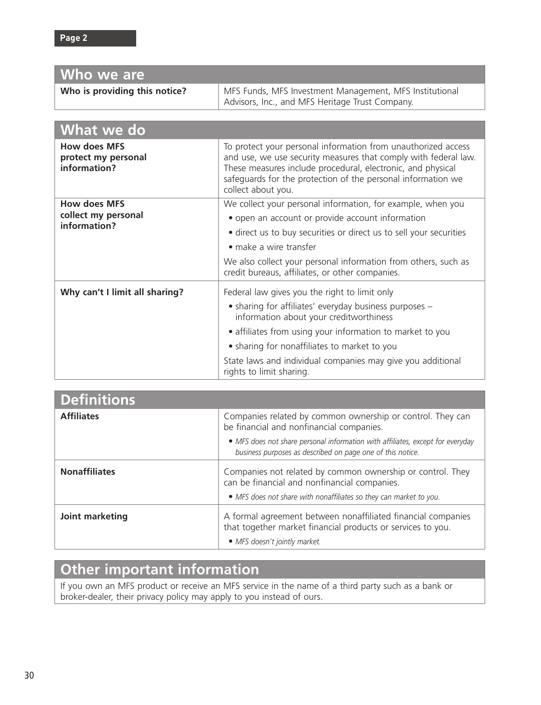| Who we are                                                 |                                                                                                                                                                                                                                                                                                                                                            |  |  |  |
|------------------------------------------------------------|------------------------------------------------------------------------------------------------------------------------------------------------------------------------------------------------------------------------------------------------------------------------------------------------------------------------------------------------------------|--|--|--|
| Who is providing this notice?                              | MFS Funds, MFS Investment Management, MFS Institutional<br>Advisors, Inc., and MFS Heritage Trust Company.                                                                                                                                                                                                                                                 |  |  |  |
|                                                            |                                                                                                                                                                                                                                                                                                                                                            |  |  |  |
| What we do                                                 |                                                                                                                                                                                                                                                                                                                                                            |  |  |  |
| <b>How does MFS</b><br>protect my personal<br>information? | To protect your personal information from unauthorized access<br>and use, we use security measures that comply with federal law.<br>These measures include procedural, electronic, and physical<br>safeguards for the protection of the personal information we<br>collect about you.                                                                      |  |  |  |
| <b>How does MFS</b><br>collect my personal<br>information? | We collect your personal information, for example, when you<br>• open an account or provide account information<br>• direct us to buy securities or direct us to sell your securities<br>$\bullet$ make a wire transfer<br>We also collect your personal information from others, such as<br>credit bureaus, affiliates, or other companies.               |  |  |  |
| Why can't I limit all sharing?                             | Federal law gives you the right to limit only<br>• sharing for affiliates' everyday business purposes -<br>information about your creditworthiness<br>• affiliates from using your information to market to you<br>• sharing for nonaffiliates to market to you<br>State laws and individual companies may give you additional<br>rights to limit sharing. |  |  |  |

| <b>Definitions</b>   |                                                                                                                                              |
|----------------------|----------------------------------------------------------------------------------------------------------------------------------------------|
| <b>Affiliates</b>    | Companies related by common ownership or control. They can<br>be financial and nonfinancial companies.                                       |
|                      | • MFS does not share personal information with affiliates, except for everyday<br>business purposes as described on page one of this notice. |
| <b>Nonaffiliates</b> | Companies not related by common ownership or control. They<br>can be financial and nonfinancial companies.                                   |
|                      | • MFS does not share with nonaffiliates so they can market to you.                                                                           |
| Joint marketing      | A formal agreement between nonaffiliated financial companies<br>that together market financial products or services to you.                  |
|                      | • MFS doesn't jointly market.                                                                                                                |

# **Other important information**

If you own an MFS product or receive an MFS service in the name of a third party such as a bank or broker-dealer, their privacy policy may apply to you instead of ours.